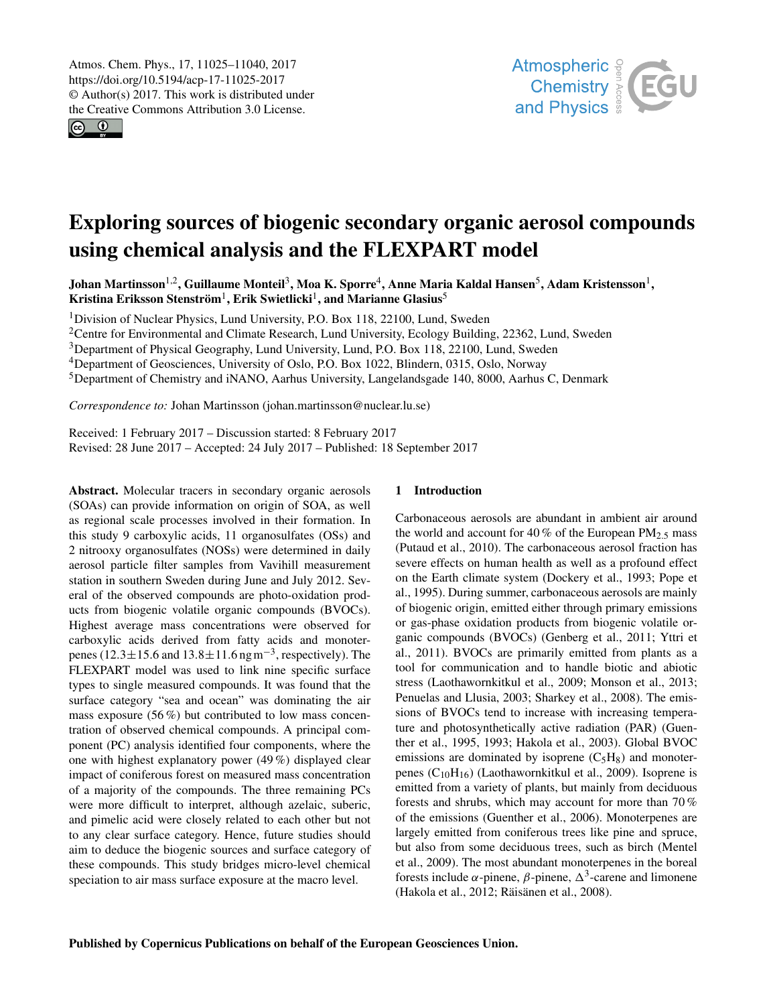<span id="page-0-1"></span> $\circledcirc$ 



# Exploring sources of biogenic secondary organic aerosol compounds using chemical analysis and the FLEXPART model

Johan Martinsson $^{1,2}$  $^{1,2}$  $^{1,2}$ , Guillaume Monteil $^3$  $^3$ , Moa K. Sporre $^4$  $^4$ , Anne Maria Kaldal Hansen $^5$  $^5$ , Adam Kristensson $^1,$  $^1,$  $^1,$ Kristina Eriksson Stenström<sup>[1](#page-0-0)</sup>, Erik Swietlicki<sup>1</sup>, and Marianne Glasius<sup>[5](#page-0-0)</sup>

<sup>1</sup>Division of Nuclear Physics, Lund University, P.O. Box 118, 22100, Lund, Sweden

<sup>2</sup>Centre for Environmental and Climate Research, Lund University, Ecology Building, 22362, Lund, Sweden

<sup>3</sup>Department of Physical Geography, Lund University, Lund, P.O. Box 118, 22100, Lund, Sweden

<sup>4</sup>Department of Geosciences, University of Oslo, P.O. Box 1022, Blindern, 0315, Oslo, Norway

<sup>5</sup>Department of Chemistry and iNANO, Aarhus University, Langelandsgade 140, 8000, Aarhus C, Denmark

*Correspondence to:* Johan Martinsson (johan.martinsson@nuclear.lu.se)

Received: 1 February 2017 – Discussion started: 8 February 2017 Revised: 28 June 2017 – Accepted: 24 July 2017 – Published: 18 September 2017

<span id="page-0-0"></span>Abstract. Molecular tracers in secondary organic aerosols (SOAs) can provide information on origin of SOA, as well as regional scale processes involved in their formation. In this study 9 carboxylic acids, 11 organosulfates (OSs) and 2 nitrooxy organosulfates (NOSs) were determined in daily aerosol particle filter samples from Vavihill measurement station in southern Sweden during June and July 2012. Several of the observed compounds are photo-oxidation products from biogenic volatile organic compounds (BVOCs). Highest average mass concentrations were observed for carboxylic acids derived from fatty acids and monoterpenes (12.3 $\pm$ 15.6 and 13.8 $\pm$ 11.6 ng m<sup>-3</sup>, respectively). The FLEXPART model was used to link nine specific surface types to single measured compounds. It was found that the surface category "sea and ocean" was dominating the air mass exposure (56 %) but contributed to low mass concentration of observed chemical compounds. A principal component (PC) analysis identified four components, where the one with highest explanatory power (49 %) displayed clear impact of coniferous forest on measured mass concentration of a majority of the compounds. The three remaining PCs were more difficult to interpret, although azelaic, suberic, and pimelic acid were closely related to each other but not to any clear surface category. Hence, future studies should aim to deduce the biogenic sources and surface category of these compounds. This study bridges micro-level chemical speciation to air mass surface exposure at the macro level.

## 1 Introduction

Carbonaceous aerosols are abundant in ambient air around the world and account for 40 % of the European  $PM_{2.5}$  mass (Putaud et al., 2010). The carbonaceous aerosol fraction has severe effects on human health as well as a profound effect on the Earth climate system (Dockery et al., 1993; Pope et al., 1995). During summer, carbonaceous aerosols are mainly of biogenic origin, emitted either through primary emissions or gas-phase oxidation products from biogenic volatile organic compounds (BVOCs) (Genberg et al., 2011; Yttri et al., 2011). BVOCs are primarily emitted from plants as a tool for communication and to handle biotic and abiotic stress (Laothawornkitkul et al., 2009; Monson et al., 2013; Penuelas and Llusia, 2003; Sharkey et al., 2008). The emissions of BVOCs tend to increase with increasing temperature and photosynthetically active radiation (PAR) (Guenther et al., 1995, 1993; Hakola et al., 2003). Global BVOC emissions are dominated by isoprene  $(C_5H_8)$  and monoterpenes  $(C_{10}H_{16})$  (Laothawornkitkul et al., 2009). Isoprene is emitted from a variety of plants, but mainly from deciduous forests and shrubs, which may account for more than 70 % of the emissions (Guenther et al., 2006). Monoterpenes are largely emitted from coniferous trees like pine and spruce, but also from some deciduous trees, such as birch (Mentel et al., 2009). The most abundant monoterpenes in the boreal forests include α-pinene,  $β$ -pinene,  $Δ^3$ -carene and limonene (Hakola et al., 2012; Räisänen et al., 2008).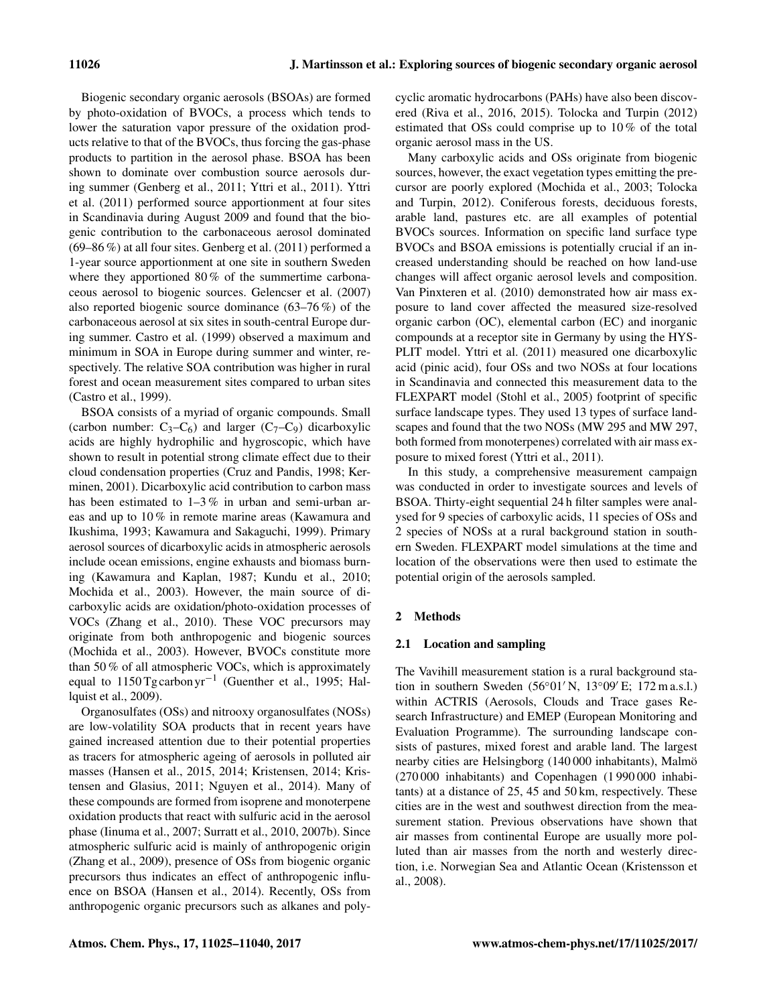Biogenic secondary organic aerosols (BSOAs) are formed by photo-oxidation of BVOCs, a process which tends to lower the saturation vapor pressure of the oxidation products relative to that of the BVOCs, thus forcing the gas-phase products to partition in the aerosol phase. BSOA has been shown to dominate over combustion source aerosols during summer (Genberg et al., 2011; Yttri et al., 2011). Yttri et al. (2011) performed source apportionment at four sites in Scandinavia during August 2009 and found that the biogenic contribution to the carbonaceous aerosol dominated (69–86 %) at all four sites. Genberg et al. (2011) performed a 1-year source apportionment at one site in southern Sweden where they apportioned 80% of the summertime carbonaceous aerosol to biogenic sources. Gelencser et al. (2007) also reported biogenic source dominance (63–76 %) of the carbonaceous aerosol at six sites in south-central Europe during summer. Castro et al. (1999) observed a maximum and minimum in SOA in Europe during summer and winter, respectively. The relative SOA contribution was higher in rural forest and ocean measurement sites compared to urban sites (Castro et al., 1999).

BSOA consists of a myriad of organic compounds. Small (carbon number:  $C_3 - C_6$ ) and larger ( $C_7 - C_9$ ) dicarboxylic acids are highly hydrophilic and hygroscopic, which have shown to result in potential strong climate effect due to their cloud condensation properties (Cruz and Pandis, 1998; Kerminen, 2001). Dicarboxylic acid contribution to carbon mass has been estimated to  $1-3\%$  in urban and semi-urban areas and up to 10 % in remote marine areas (Kawamura and Ikushima, 1993; Kawamura and Sakaguchi, 1999). Primary aerosol sources of dicarboxylic acids in atmospheric aerosols include ocean emissions, engine exhausts and biomass burning (Kawamura and Kaplan, 1987; Kundu et al., 2010; Mochida et al., 2003). However, the main source of dicarboxylic acids are oxidation/photo-oxidation processes of VOCs (Zhang et al., 2010). These VOC precursors may originate from both anthropogenic and biogenic sources (Mochida et al., 2003). However, BVOCs constitute more than 50 % of all atmospheric VOCs, which is approximately equal to 1150 Tg carbon yr<sup>-1</sup> (Guenther et al., 1995; Hallquist et al., 2009).

Organosulfates (OSs) and nitrooxy organosulfates (NOSs) are low-volatility SOA products that in recent years have gained increased attention due to their potential properties as tracers for atmospheric ageing of aerosols in polluted air masses (Hansen et al., 2015, 2014; Kristensen, 2014; Kristensen and Glasius, 2011; Nguyen et al., 2014). Many of these compounds are formed from isoprene and monoterpene oxidation products that react with sulfuric acid in the aerosol phase (Iinuma et al., 2007; Surratt et al., 2010, 2007b). Since atmospheric sulfuric acid is mainly of anthropogenic origin (Zhang et al., 2009), presence of OSs from biogenic organic precursors thus indicates an effect of anthropogenic influence on BSOA (Hansen et al., 2014). Recently, OSs from anthropogenic organic precursors such as alkanes and polycyclic aromatic hydrocarbons (PAHs) have also been discovered (Riva et al., 2016, 2015). Tolocka and Turpin (2012) estimated that OSs could comprise up to 10 % of the total organic aerosol mass in the US.

Many carboxylic acids and OSs originate from biogenic sources, however, the exact vegetation types emitting the precursor are poorly explored (Mochida et al., 2003; Tolocka and Turpin, 2012). Coniferous forests, deciduous forests, arable land, pastures etc. are all examples of potential BVOCs sources. Information on specific land surface type BVOCs and BSOA emissions is potentially crucial if an increased understanding should be reached on how land-use changes will affect organic aerosol levels and composition. Van Pinxteren et al. (2010) demonstrated how air mass exposure to land cover affected the measured size-resolved organic carbon (OC), elemental carbon (EC) and inorganic compounds at a receptor site in Germany by using the HYS-PLIT model. Yttri et al. (2011) measured one dicarboxylic acid (pinic acid), four OSs and two NOSs at four locations in Scandinavia and connected this measurement data to the FLEXPART model (Stohl et al., 2005) footprint of specific surface landscape types. They used 13 types of surface landscapes and found that the two NOSs (MW 295 and MW 297, both formed from monoterpenes) correlated with air mass exposure to mixed forest (Yttri et al., 2011).

In this study, a comprehensive measurement campaign was conducted in order to investigate sources and levels of BSOA. Thirty-eight sequential 24 h filter samples were analysed for 9 species of carboxylic acids, 11 species of OSs and 2 species of NOSs at a rural background station in southern Sweden. FLEXPART model simulations at the time and location of the observations were then used to estimate the potential origin of the aerosols sampled.

## 2 Methods

## 2.1 Location and sampling

The Vavihill measurement station is a rural background station in southern Sweden  $(56°01'N, 13°09'E; 172 m a.s.l.)$ within ACTRIS (Aerosols, Clouds and Trace gases Research Infrastructure) and EMEP (European Monitoring and Evaluation Programme). The surrounding landscape consists of pastures, mixed forest and arable land. The largest nearby cities are Helsingborg (140 000 inhabitants), Malmö (270 000 inhabitants) and Copenhagen (1 990 000 inhabitants) at a distance of 25, 45 and 50 km, respectively. These cities are in the west and southwest direction from the measurement station. Previous observations have shown that air masses from continental Europe are usually more polluted than air masses from the north and westerly direction, i.e. Norwegian Sea and Atlantic Ocean (Kristensson et al., 2008).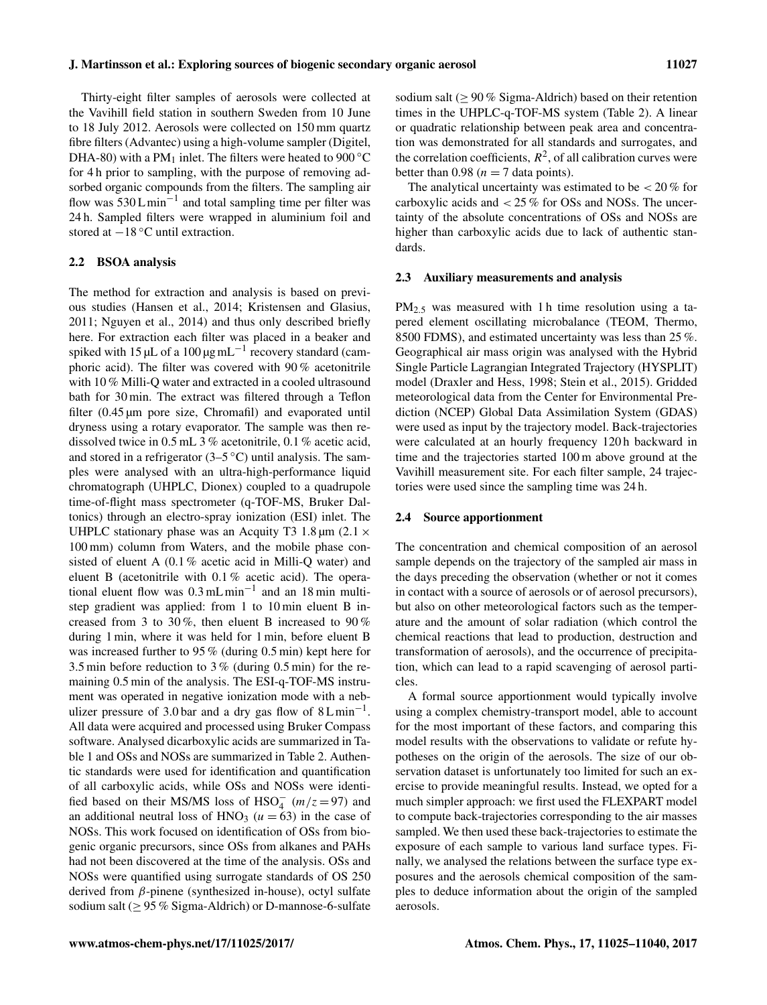Thirty-eight filter samples of aerosols were collected at the Vavihill field station in southern Sweden from 10 June to 18 July 2012. Aerosols were collected on 150 mm quartz fibre filters (Advantec) using a high-volume sampler (Digitel, DHA-80) with a PM<sub>1</sub> inlet. The filters were heated to 900 °C for 4 h prior to sampling, with the purpose of removing adsorbed organic compounds from the filters. The sampling air flow was  $530$  Lmin<sup>-1</sup> and total sampling time per filter was 24 h. Sampled filters were wrapped in aluminium foil and stored at −18 ◦C until extraction.

#### 2.2 BSOA analysis

The method for extraction and analysis is based on previous studies (Hansen et al., 2014; Kristensen and Glasius, 2011; Nguyen et al., 2014) and thus only described briefly here. For extraction each filter was placed in a beaker and spiked with 15 µL of a 100 µg mL<sup>-1</sup> recovery standard (camphoric acid). The filter was covered with 90 % acetonitrile with 10 % Milli-Q water and extracted in a cooled ultrasound bath for 30 min. The extract was filtered through a Teflon filter (0.45 µm pore size, Chromafil) and evaporated until dryness using a rotary evaporator. The sample was then redissolved twice in 0.5 mL 3 % acetonitrile, 0.1 % acetic acid, and stored in a refrigerator  $(3-5\degree C)$  until analysis. The samples were analysed with an ultra-high-performance liquid chromatograph (UHPLC, Dionex) coupled to a quadrupole time-of-flight mass spectrometer (q-TOF-MS, Bruker Daltonics) through an electro-spray ionization (ESI) inlet. The UHPLC stationary phase was an Acquity T3 1.8  $\mu$ m (2.1  $\times$ 100 mm) column from Waters, and the mobile phase consisted of eluent A (0.1 % acetic acid in Milli-Q water) and eluent B (acetonitrile with 0.1 % acetic acid). The operational eluent flow was  $0.3 \text{ mL} \text{min}^{-1}$  and an 18 min multistep gradient was applied: from 1 to 10 min eluent B increased from 3 to 30 %, then eluent B increased to 90 % during 1 min, where it was held for 1 min, before eluent B was increased further to 95 % (during 0.5 min) kept here for 3.5 min before reduction to 3 % (during 0.5 min) for the remaining 0.5 min of the analysis. The ESI-q-TOF-MS instrument was operated in negative ionization mode with a nebulizer pressure of 3.0 bar and a dry gas flow of  $8 \text{ L} \text{min}^{-1}$ . All data were acquired and processed using Bruker Compass software. Analysed dicarboxylic acids are summarized in Table 1 and OSs and NOSs are summarized in Table 2. Authentic standards were used for identification and quantification of all carboxylic acids, while OSs and NOSs were identified based on their MS/MS loss of HSO $_4^-$  ( $m/z = 97$ ) and an additional neutral loss of  $HNO<sub>3</sub>$  ( $u = 63$ ) in the case of NOSs. This work focused on identification of OSs from biogenic organic precursors, since OSs from alkanes and PAHs had not been discovered at the time of the analysis. OSs and NOSs were quantified using surrogate standards of OS 250 derived from β-pinene (synthesized in-house), octyl sulfate sodium salt ( $\geq$  95 % Sigma-Aldrich) or D-mannose-6-sulfate sodium salt ( $\geq 90\%$  Sigma-Aldrich) based on their retention times in the UHPLC-q-TOF-MS system (Table 2). A linear or quadratic relationship between peak area and concentration was demonstrated for all standards and surrogates, and the correlation coefficients,  $R^2$ , of all calibration curves were better than 0.98 ( $n = 7$  data points).

The analytical uncertainty was estimated to be  $\lt 20\%$  for carboxylic acids and  $< 25\%$  for OSs and NOSs. The uncertainty of the absolute concentrations of OSs and NOSs are higher than carboxylic acids due to lack of authentic standards.

#### 2.3 Auxiliary measurements and analysis

PM<sub>2.5</sub> was measured with 1 h time resolution using a tapered element oscillating microbalance (TEOM, Thermo, 8500 FDMS), and estimated uncertainty was less than 25 %. Geographical air mass origin was analysed with the Hybrid Single Particle Lagrangian Integrated Trajectory (HYSPLIT) model (Draxler and Hess, 1998; Stein et al., 2015). Gridded meteorological data from the Center for Environmental Prediction (NCEP) Global Data Assimilation System (GDAS) were used as input by the trajectory model. Back-trajectories were calculated at an hourly frequency 120 h backward in time and the trajectories started 100 m above ground at the Vavihill measurement site. For each filter sample, 24 trajectories were used since the sampling time was 24 h.

#### 2.4 Source apportionment

The concentration and chemical composition of an aerosol sample depends on the trajectory of the sampled air mass in the days preceding the observation (whether or not it comes in contact with a source of aerosols or of aerosol precursors), but also on other meteorological factors such as the temperature and the amount of solar radiation (which control the chemical reactions that lead to production, destruction and transformation of aerosols), and the occurrence of precipitation, which can lead to a rapid scavenging of aerosol particles.

A formal source apportionment would typically involve using a complex chemistry-transport model, able to account for the most important of these factors, and comparing this model results with the observations to validate or refute hypotheses on the origin of the aerosols. The size of our observation dataset is unfortunately too limited for such an exercise to provide meaningful results. Instead, we opted for a much simpler approach: we first used the FLEXPART model to compute back-trajectories corresponding to the air masses sampled. We then used these back-trajectories to estimate the exposure of each sample to various land surface types. Finally, we analysed the relations between the surface type exposures and the aerosols chemical composition of the samples to deduce information about the origin of the sampled aerosols.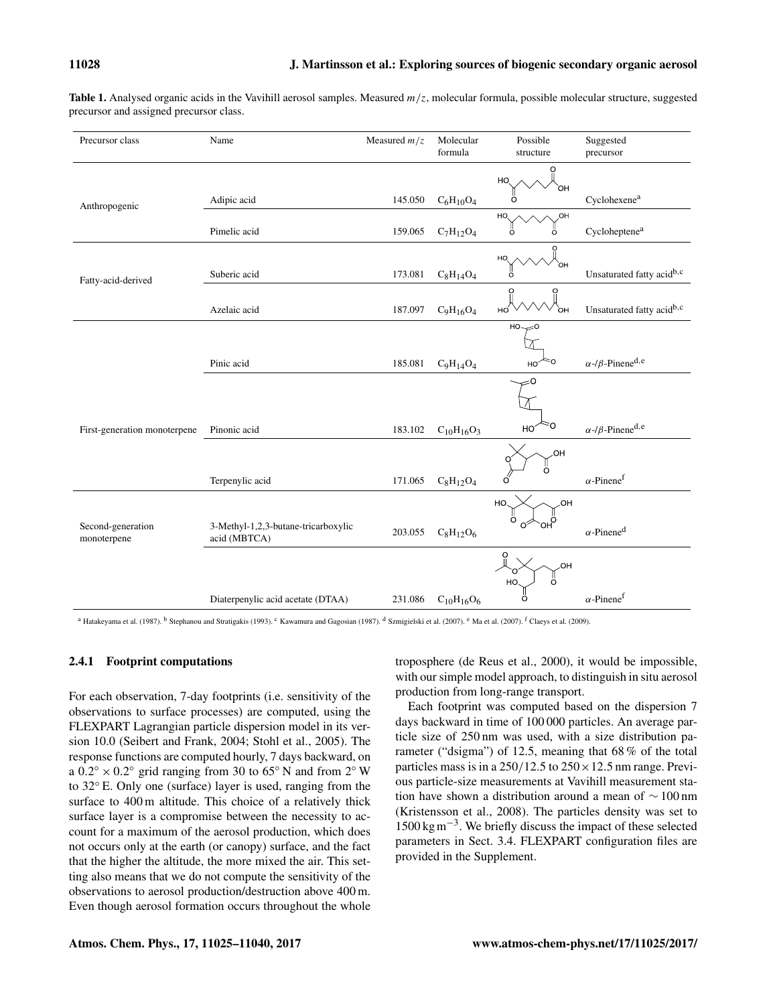**Table 1.** Analysed organic acids in the Vavihill aerosol samples. Measured  $m/z$ , molecular formula, possible molecular structure, suggested precursor and assigned precursor class.

| Precursor class                  | Name                                                | Measured $m/z$ | Molecular<br>formula | Possible<br>structure                              | Suggested<br>precursor                      |
|----------------------------------|-----------------------------------------------------|----------------|----------------------|----------------------------------------------------|---------------------------------------------|
|                                  |                                                     |                |                      | O<br>HO.                                           |                                             |
| Anthropogenic                    | Adipic acid                                         | 145.050        | $\rm{C_6H_{10}O_4}$  | `ОН<br>O                                           | Cyclohexene <sup>a</sup>                    |
|                                  | Pimelic acid                                        | 159.065        | $C_7H_{12}O_4$       | OH<br>HO<br>ő<br>ö                                 | Cycloheptene <sup>a</sup>                   |
| Fatty-acid-derived               | Suberic acid                                        | 173.081        | $C_8H_{14}O_4$       | O<br>HO<br>ÒН<br>ő                                 | Unsaturated fatty acidb,c                   |
|                                  | Azelaic acid                                        | 187.097        | $C_9H_{16}O_4$       | O<br>O<br>нó<br>ÒН                                 | Unsaturated fatty acidb,c                   |
|                                  |                                                     |                |                      | $HO\infty$ OH                                      |                                             |
|                                  | Pinic acid                                          | 185.081        | $C_9H_{14}O_4$       | ≈ο<br>HO <sup>2</sup>                              | $\alpha$ -/ $\beta$ -Pinene <sup>d, e</sup> |
|                                  |                                                     |                |                      |                                                    |                                             |
| First-generation monoterpene     | Pinonic acid                                        | 183.102        | $C_{10}H_{16}O_3$    | FO<br>HO <sup></sup>                               | $\alpha$ -/ $\beta$ -Pinene <sup>d, e</sup> |
|                                  | Terpenylic acid                                     | 171.065        | $C_8H_{12}O_4$       | ,OH<br>O                                           | $\alpha$ -Pinene <sup>f</sup>               |
|                                  |                                                     |                |                      | HO.<br>OH.                                         |                                             |
| Second-generation<br>monoterpene | 3-Methyl-1,2,3-butane-tricarboxylic<br>acid (MBTCA) | 203.055        | $C_8H_{12}O_6$       | Öно<br>Ω                                           | $\alpha$ -Pinene <sup>d</sup>               |
|                                  |                                                     |                |                      | $\frac{0}{\pi}$<br>OH<br>r<br>$\overline{0}$<br>HO |                                             |
|                                  | Diaterpenylic acid acetate (DTAA)                   | 231.086        | $C_{10}H_{16}O_6$    | Ö                                                  | $\alpha$ -Pinene <sup>f</sup>               |

<sup>a</sup> Hatakeyama et al. (1987). <sup>b</sup> Stephanou and Stratigakis (1993). <sup>c</sup> Kawamura and Gagosian (1987). <sup>d</sup> Szmigielski et al. (2007). <sup>e</sup> Ma et al. (2007). <sup>f</sup> Claeys et al. (2009).

## 2.4.1 Footprint computations

For each observation, 7-day footprints (i.e. sensitivity of the observations to surface processes) are computed, using the FLEXPART Lagrangian particle dispersion model in its version 10.0 (Seibert and Frank, 2004; Stohl et al., 2005). The response functions are computed hourly, 7 days backward, on a  $0.2^{\circ} \times 0.2^{\circ}$  grid ranging from 30 to 65° N and from 2° W to 32◦ E. Only one (surface) layer is used, ranging from the surface to 400 m altitude. This choice of a relatively thick surface layer is a compromise between the necessity to account for a maximum of the aerosol production, which does not occurs only at the earth (or canopy) surface, and the fact that the higher the altitude, the more mixed the air. This setting also means that we do not compute the sensitivity of the observations to aerosol production/destruction above 400 m. Even though aerosol formation occurs throughout the whole troposphere (de Reus et al., 2000), it would be impossible, with our simple model approach, to distinguish in situ aerosol production from long-range transport.

Each footprint was computed based on the dispersion 7 days backward in time of 100 000 particles. An average particle size of 250 nm was used, with a size distribution parameter ("dsigma") of 12.5, meaning that 68 % of the total particles mass is in a  $250/12.5$  to  $250 \times 12.5$  nm range. Previous particle-size measurements at Vavihill measurement station have shown a distribution around a mean of ∼ 100 nm (Kristensson et al., 2008). The particles density was set to 1500 kgm−<sup>3</sup> . We briefly discuss the impact of these selected parameters in Sect. 3.4. FLEXPART configuration files are provided in the Supplement.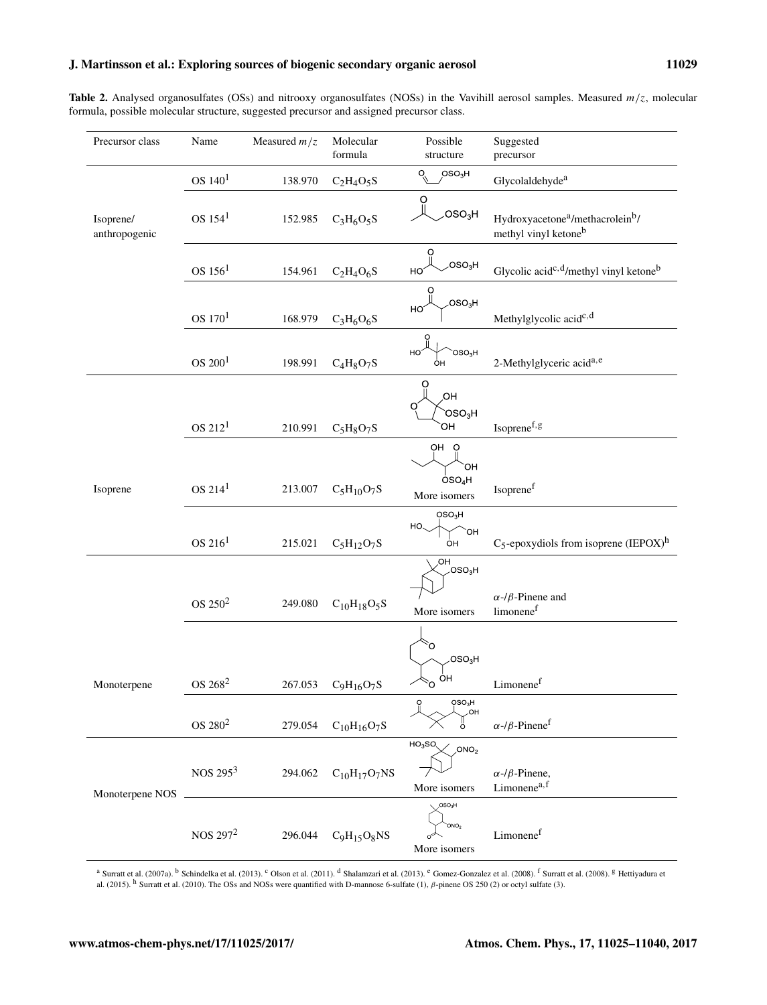**Table 2.** Analysed organosulfates (OSs) and nitrooxy organosulfates (NOSs) in the Vavihill aerosol samples. Measured  $m/z$ , molecular formula, possible molecular structure, suggested precursor and assigned precursor class.

| Precursor class            | Name                  | Measured $m/z$ | Molecular<br>formula | Possible<br>structure                                               | Suggested<br>precursor                                                                       |
|----------------------------|-----------------------|----------------|----------------------|---------------------------------------------------------------------|----------------------------------------------------------------------------------------------|
|                            | OS 140 <sup>1</sup>   | 138.970        | $C_2H_4O_5S$         | $\overline{q}$<br>OSO <sub>3</sub> H                                | Glycolaldehyde <sup>a</sup>                                                                  |
| Isoprene/<br>anthropogenic | OS 154 <sup>1</sup>   | 152.985        | $C_3H_6O_5S$         | ဂူ<br>OSO <sub>3</sub> H                                            | Hydroxyacetone <sup>a</sup> /methacrolein <sup>b</sup> /<br>methyl vinyl ketone <sup>b</sup> |
|                            | $OS$ 156 <sup>1</sup> | 154.961        | $C_2H_4O_6S$         | $\Omega$<br>.08O <sub>3</sub> H<br>HO                               | Glycolic acid <sup>c,d</sup> /methyl vinyl ketone <sup>b</sup>                               |
|                            | OS 170 <sup>1</sup>   | 168.979        | $C_3H_6O_6S$         | OSO <sub>3</sub> H<br>HO                                            | Methylglycolic acid <sup>c,d</sup>                                                           |
|                            | OS 200 <sup>1</sup>   | 198.991        | $C_4H_8O_7S$         | HO <sup>-</sup><br>$\cos \theta_3 H$<br>ÒН                          | 2-Methylglyceric acida,e                                                                     |
|                            | OS 212 <sup>1</sup>   | 210.991        | $C_5H_8O_7S$         | O<br>,OH<br>OSO <sub>3</sub> H<br>OH                                | Isoprene <sup>f,g</sup>                                                                      |
|                            |                       |                |                      | OH<br>$\Omega$<br>OH<br>OSO <sub>4</sub> H                          |                                                                                              |
| Isoprene                   | OS 214 <sup>1</sup>   | 213.007        | $C_5H_{10}O_7S$      | More isomers                                                        | Isoprenef                                                                                    |
|                            | OS 216 <sup>1</sup>   | 215.021        | $C_5H_{12}O_7S$      | OSO <sub>3</sub> H<br>HO.<br>`OH<br>ÒН                              | $C_5$ -epoxydiols from isoprene (IEPOX) <sup>h</sup>                                         |
|                            | OS 250 <sup>2</sup>   | 249.080        | $C_{10}H_{18}O_5S$   | ,OH<br>.<br>.OSO <sub>3</sub> H<br>More isomers                     | $\alpha$ -/ $\beta$ -Pinene and<br>limonene <sup>f</sup>                                     |
|                            |                       |                |                      | Ô<br>$.$ OSO $_3$ H                                                 |                                                                                              |
| Monoterpene                | OS $268^2$            | 267.053        | $C_9H_{16}O_7S$      | ÒΗ<br>Ò.                                                            | Limonenef                                                                                    |
|                            | OS 280 <sup>2</sup>   | 279.054        | $C_{10}H_{16}O_7S$   | OSO <sub>3</sub> H<br>Ö<br>OH.                                      | $\alpha$ -/ $\beta$ -Pinene <sup>f</sup>                                                     |
| Monoterpene NOS            | NOS 295 <sup>3</sup>  | 294.062        | $C_{10}H_{17}O_7NS$  | HO <sub>3</sub> SO <sub>3</sub><br>ONO <sub>2</sub><br>More isomers | $\alpha$ -/ $\beta$ -Pinene,<br>Limonenea,f                                                  |
|                            | NOS 297 <sup>2</sup>  | 296.044        | $C_9H_{15}O_8NS$     | OSO <sub>3</sub> H<br>More isomers                                  | Limonenef                                                                                    |

<sup>a</sup> Surratt et al. (2007a). <sup>b</sup> Schindelka et al. (2013). <sup>c</sup> Olson et al. (2011). <sup>d</sup> Shalamzari et al. (2013). <sup>e</sup> Gomez-Gonzalez et al. (2008). <sup>f</sup> Surratt et al. (2008). <sup>g</sup> Hettiyadura et al. (2015). h Surratt et al. (2010). The OSs and NOSs were quantified with D-mannose 6-sulfate (1),  $\beta$ -pinene OS 250 (2) or octyl sulfate (3).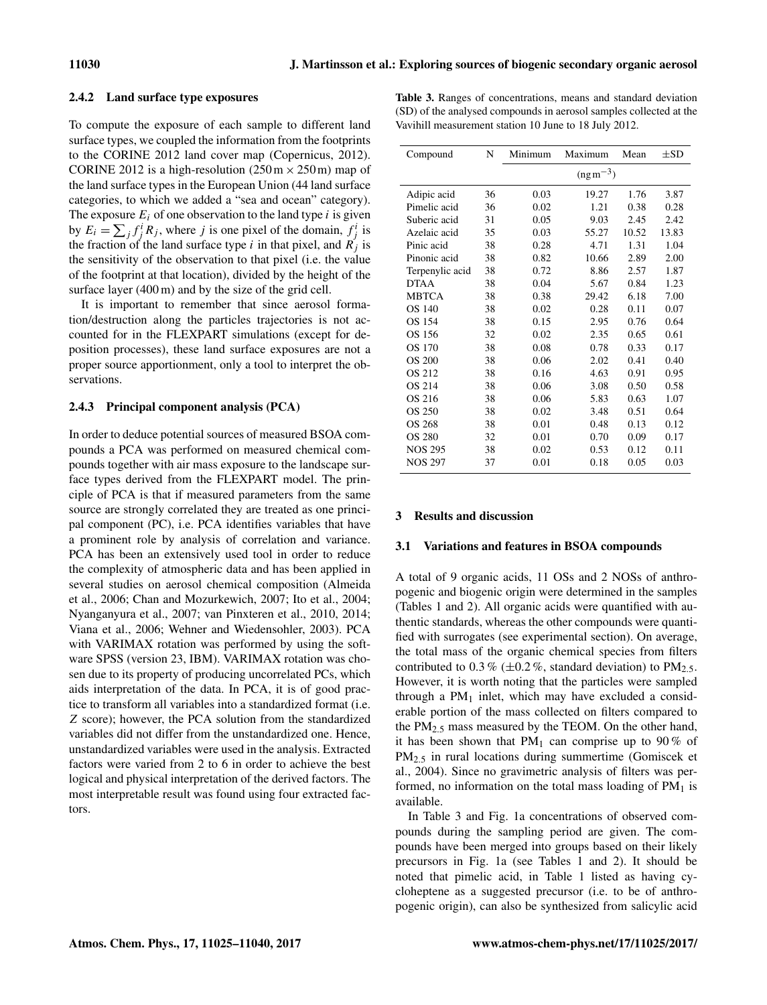## 2.4.2 Land surface type exposures

To compute the exposure of each sample to different land surface types, we coupled the information from the footprints to the CORINE 2012 land cover map (Copernicus, 2012). CORINE 2012 is a high-resolution  $(250 \text{ m} \times 250 \text{ m})$  map of the land surface types in the European Union (44 land surface categories, to which we added a "sea and ocean" category). The exposure  $E_i$  of one observation to the land type  $i$  is given by  $E_i = \sum_j f_j^i R_j$ , where *j* is one pixel of the domain,  $f_j^i$  is the fraction of the land surface type i in that pixel, and  $\overrightarrow{R}_i$  is the sensitivity of the observation to that pixel (i.e. the value of the footprint at that location), divided by the height of the surface layer (400 m) and by the size of the grid cell.

It is important to remember that since aerosol formation/destruction along the particles trajectories is not accounted for in the FLEXPART simulations (except for deposition processes), these land surface exposures are not a proper source apportionment, only a tool to interpret the observations.

## 2.4.3 Principal component analysis (PCA)

In order to deduce potential sources of measured BSOA compounds a PCA was performed on measured chemical compounds together with air mass exposure to the landscape surface types derived from the FLEXPART model. The principle of PCA is that if measured parameters from the same source are strongly correlated they are treated as one principal component (PC), i.e. PCA identifies variables that have a prominent role by analysis of correlation and variance. PCA has been an extensively used tool in order to reduce the complexity of atmospheric data and has been applied in several studies on aerosol chemical composition (Almeida et al., 2006; Chan and Mozurkewich, 2007; Ito et al., 2004; Nyanganyura et al., 2007; van Pinxteren et al., 2010, 2014; Viana et al., 2006; Wehner and Wiedensohler, 2003). PCA with VARIMAX rotation was performed by using the software SPSS (version 23, IBM). VARIMAX rotation was chosen due to its property of producing uncorrelated PCs, which aids interpretation of the data. In PCA, it is of good practice to transform all variables into a standardized format (i.e. Z score); however, the PCA solution from the standardized variables did not differ from the unstandardized one. Hence, unstandardized variables were used in the analysis. Extracted factors were varied from 2 to 6 in order to achieve the best logical and physical interpretation of the derived factors. The most interpretable result was found using four extracted factors.

Table 3. Ranges of concentrations, means and standard deviation (SD) of the analysed compounds in aerosol samples collected at the Vavihill measurement station 10 June to 18 July 2012.

| Compound        | N  | Minimum        | Mean  | $\pm$ SD |       |  |  |  |
|-----------------|----|----------------|-------|----------|-------|--|--|--|
|                 |    | $(ng\,m^{-3})$ |       |          |       |  |  |  |
| Adipic acid     | 36 | 0.03           | 19.27 | 1.76     | 3.87  |  |  |  |
| Pimelic acid    | 36 | 0.02           | 1.21  | 0.38     | 0.28  |  |  |  |
| Suberic acid    | 31 | 0.05           | 9.03  | 2.45     | 2.42  |  |  |  |
| Azelaic acid    | 35 | 0.03           | 55.27 | 10.52    | 13.83 |  |  |  |
| Pinic acid      | 38 | 0.28           | 4.71  | 1.31     | 1.04  |  |  |  |
| Pinonic acid    | 38 | 0.82           | 10.66 | 2.89     | 2.00  |  |  |  |
| Terpenylic acid | 38 | 0.72           | 8.86  | 2.57     | 1.87  |  |  |  |
| <b>DTAA</b>     | 38 | 0.04           | 5.67  | 0.84     | 1.23  |  |  |  |
| <b>MBTCA</b>    | 38 | 0.38           | 29.42 | 6.18     | 7.00  |  |  |  |
| OS 140          | 38 | 0.02           | 0.28  | 0.11     | 0.07  |  |  |  |
| OS 154          | 38 | 0.15           | 2.95  | 0.76     | 0.64  |  |  |  |
| OS 156          | 32 | 0.02           | 2.35  | 0.65     | 0.61  |  |  |  |
| OS 170          | 38 | 0.08           | 0.78  | 0.33     | 0.17  |  |  |  |
| <b>OS 200</b>   | 38 | 0.06           | 2.02  | 0.41     | 0.40  |  |  |  |
| OS 212          | 38 | 0.16           | 4.63  | 0.91     | 0.95  |  |  |  |
| OS 214          | 38 | 0.06           | 3.08  | 0.50     | 0.58  |  |  |  |
| OS 216          | 38 | 0.06           | 5.83  | 0.63     | 1.07  |  |  |  |
| OS 250          | 38 | 0.02           | 3.48  | 0.51     | 0.64  |  |  |  |
| OS 268          | 38 | 0.01           | 0.48  | 0.13     | 0.12  |  |  |  |
| OS 280          | 32 | 0.01           | 0.70  | 0.09     | 0.17  |  |  |  |
| <b>NOS 295</b>  | 38 | 0.02           | 0.53  | 0.12     | 0.11  |  |  |  |
| <b>NOS 297</b>  | 37 | 0.01           | 0.18  | 0.05     | 0.03  |  |  |  |

## 3 Results and discussion

#### 3.1 Variations and features in BSOA compounds

A total of 9 organic acids, 11 OSs and 2 NOSs of anthropogenic and biogenic origin were determined in the samples (Tables 1 and 2). All organic acids were quantified with authentic standards, whereas the other compounds were quantified with surrogates (see experimental section). On average, the total mass of the organic chemical species from filters contributed to 0.3 % ( $\pm$ 0.2 %, standard deviation) to PM<sub>2.5</sub>. However, it is worth noting that the particles were sampled through a  $PM<sub>1</sub>$  inlet, which may have excluded a considerable portion of the mass collected on filters compared to the  $PM_{2.5}$  mass measured by the TEOM. On the other hand, it has been shown that  $PM_1$  can comprise up to 90% of PM2.<sup>5</sup> in rural locations during summertime (Gomiscek et al., 2004). Since no gravimetric analysis of filters was performed, no information on the total mass loading of  $PM<sub>1</sub>$  is available.

In Table 3 and Fig. 1a concentrations of observed compounds during the sampling period are given. The compounds have been merged into groups based on their likely precursors in Fig. 1a (see Tables 1 and 2). It should be noted that pimelic acid, in Table 1 listed as having cycloheptene as a suggested precursor (i.e. to be of anthropogenic origin), can also be synthesized from salicylic acid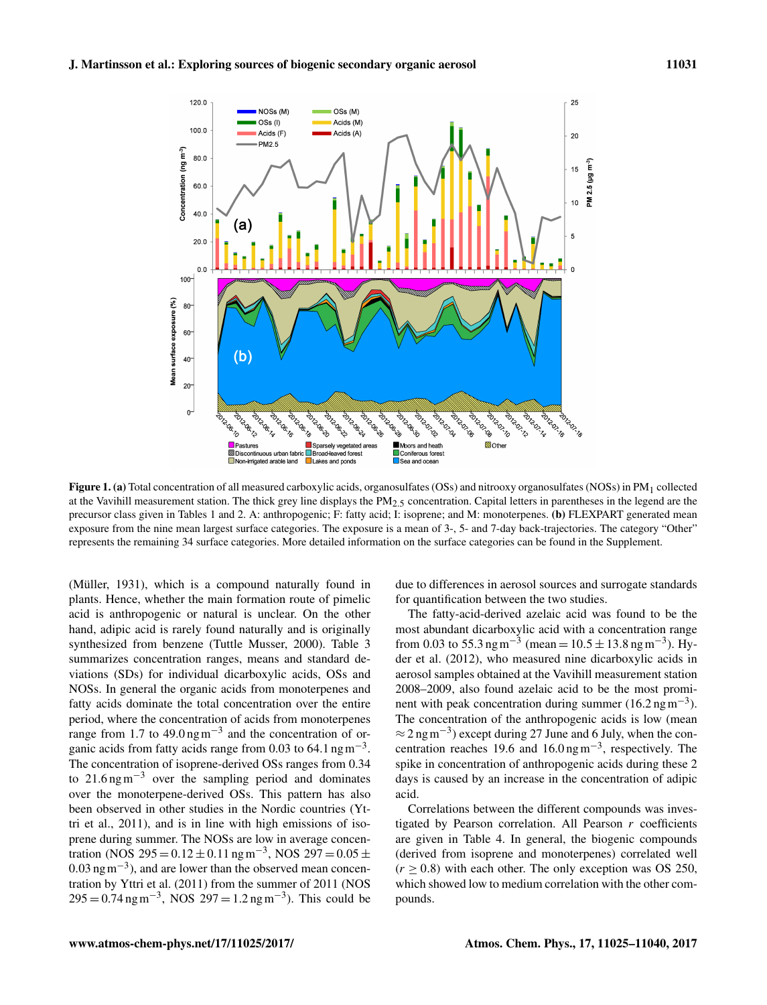

Figure 1. (a) Total concentration of all measured carboxylic acids, organosulfates (OSs) and nitrooxy organosulfates (NOSs) in PM<sub>1</sub> collected at the Vavihill measurement station. The thick grey line displays the PM<sub>2.5</sub> concentration. Capital letters in parentheses in the legend are the precursor class given in Tables 1 and 2. A: anthropogenic; F: fatty acid; I: isoprene; and M: monoterpenes. (b) FLEXPART generated mean exposure from the nine mean largest surface categories. The exposure is a mean of 3-, 5- and 7-day back-trajectories. The category "Other" represents the remaining 34 surface categories. More detailed information on the surface categories can be found in the Supplement.

(Müller, 1931), which is a compound naturally found in plants. Hence, whether the main formation route of pimelic acid is anthropogenic or natural is unclear. On the other hand, adipic acid is rarely found naturally and is originally synthesized from benzene (Tuttle Musser, 2000). Table 3 summarizes concentration ranges, means and standard deviations (SDs) for individual dicarboxylic acids, OSs and NOSs. In general the organic acids from monoterpenes and fatty acids dominate the total concentration over the entire period, where the concentration of acids from monoterpenes range from 1.7 to  $49.0 \text{ ng m}^{-3}$  and the concentration of organic acids from fatty acids range from 0.03 to 64.1 ng m<sup>-3</sup>. The concentration of isoprene-derived OSs ranges from 0.34 to 21.6 ngm<sup>-3</sup> over the sampling period and dominates over the monoterpene-derived OSs. This pattern has also been observed in other studies in the Nordic countries (Yttri et al., 2011), and is in line with high emissions of isoprene during summer. The NOSs are low in average concentration (NOS 295 =  $0.12 \pm 0.11$  ng m<sup>-3</sup>, NOS 297 =  $0.05 \pm$ 0.03 ng m<sup>-3</sup>), and are lower than the observed mean concentration by Yttri et al. (2011) from the summer of 2011 (NOS  $295 = 0.74$  ng m<sup>-3</sup>, NOS  $297 = 1.2$  ng m<sup>-3</sup>). This could be

due to differences in aerosol sources and surrogate standards for quantification between the two studies.

The fatty-acid-derived azelaic acid was found to be the most abundant dicarboxylic acid with a concentration range from 0.03 to 55.3 ng m<sup>-3</sup> (mean =  $10.5 \pm 13.8$  ng m<sup>-3</sup>). Hyder et al. (2012), who measured nine dicarboxylic acids in aerosol samples obtained at the Vavihill measurement station 2008–2009, also found azelaic acid to be the most prominent with peak concentration during summer  $(16.2 \text{ ng m}^{-3})$ . The concentration of the anthropogenic acids is low (mean ≈ 2 ngm−<sup>3</sup> ) except during 27 June and 6 July, when the concentration reaches 19.6 and 16.0 ngm−<sup>3</sup> , respectively. The spike in concentration of anthropogenic acids during these 2 days is caused by an increase in the concentration of adipic acid.

Correlations between the different compounds was investigated by Pearson correlation. All Pearson  $r$  coefficients are given in Table 4. In general, the biogenic compounds (derived from isoprene and monoterpenes) correlated well  $(r \geq 0.8)$  with each other. The only exception was OS 250, which showed low to medium correlation with the other compounds.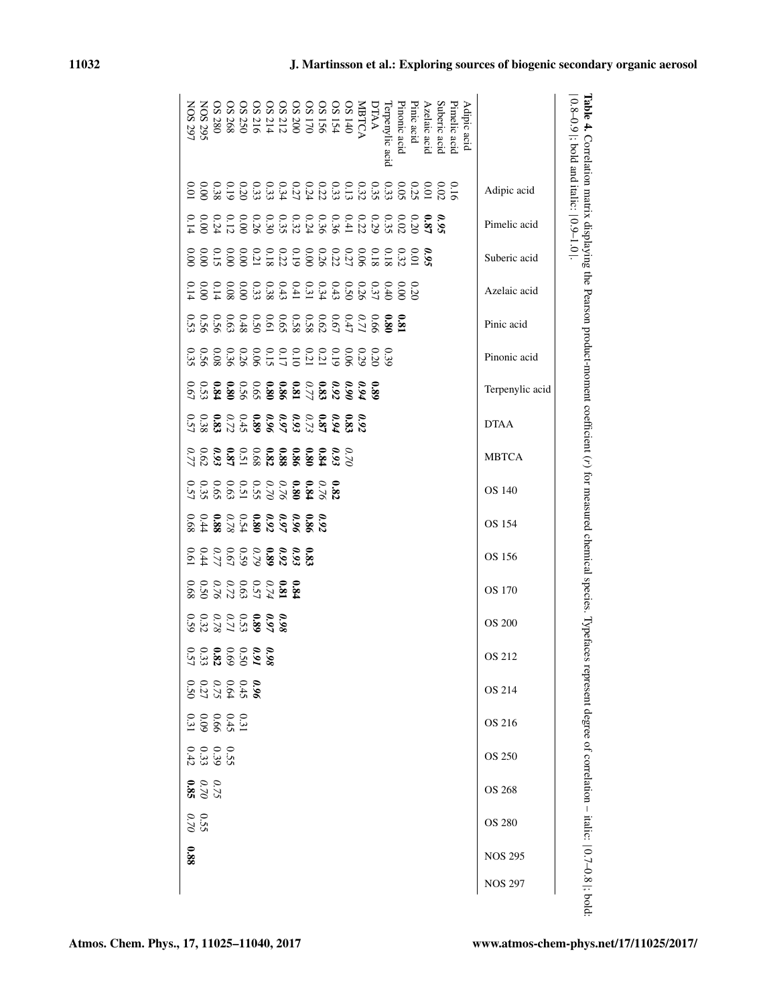| Suberic acid<br>$\begin{array}{r} 051100 \\ 031150 \\ 042150 \\ 053150 \\ 063150 \\ 074150 \\ 083150 \\ 095150 \\ 095150 \\ 095150 \\ 095150 \\ 095150 \\ 095150 \\ 095150 \\ 095150 \\ 095150 \\ 095150 \\ 095150 \\ 095150 \\ 095150 \\ 095150 \\ 095150 \\ 095150 \\ 095150 \\ 095150 \\ 095150 \\ 0951$<br><b>NOS 297</b><br>MBTCA<br>Pinonic acid<br>Pinic acid<br>Azelaic acid<br>Pimelic acid<br>DTAA<br>Ferpenylic acid | Adipic acid     |
|---------------------------------------------------------------------------------------------------------------------------------------------------------------------------------------------------------------------------------------------------------------------------------------------------------------------------------------------------------------------------------------------------------------------------------|-----------------|
|                                                                                                                                                                                                                                                                                                                                                                                                                                 | Adipic acid     |
|                                                                                                                                                                                                                                                                                                                                                                                                                                 | Pimelic acid    |
|                                                                                                                                                                                                                                                                                                                                                                                                                                 | Suberic acid    |
|                                                                                                                                                                                                                                                                                                                                                                                                                                 | Azelaic acid    |
| 0 0 0 0 0 0 0 0 0 0 0 0 0 0 0 0 0 0 0<br>2 2 2 3 3 3 4 5 6 7 5 7 6 7 7 7 8 2                                                                                                                                                                                                                                                                                                                                                    | Pinic acid      |
|                                                                                                                                                                                                                                                                                                                                                                                                                                 | Pinonic acid    |
|                                                                                                                                                                                                                                                                                                                                                                                                                                 | Terpenylic acid |
|                                                                                                                                                                                                                                                                                                                                                                                                                                 | <b>DTAA</b>     |
| $0.33$<br>$2.34$<br>$8.8$<br>$8.8$<br>$8.8$<br>$8.8$<br>$8.8$<br>$8.8$<br>$8.2$<br>$8.2$<br>$8.2$                                                                                                                                                                                                                                                                                                                               | MBTCA           |
|                                                                                                                                                                                                                                                                                                                                                                                                                                 | OS 140          |
|                                                                                                                                                                                                                                                                                                                                                                                                                                 | <b>OS 154</b>   |
|                                                                                                                                                                                                                                                                                                                                                                                                                                 | OS 156          |
| <b>882</b><br>822222228<br><b>82</b> 22228                                                                                                                                                                                                                                                                                                                                                                                      | <b>OS 170</b>   |
| 8.95<br>8.98<br>8.97 27 23                                                                                                                                                                                                                                                                                                                                                                                                      | <b>OS 200</b>   |
| 9.97<br>2.97<br>2.98<br>2.97<br>3.7                                                                                                                                                                                                                                                                                                                                                                                             | OS 212          |
| 0.96<br>0.45<br>0.57<br>0.50                                                                                                                                                                                                                                                                                                                                                                                                    | OS 214          |
| $0.31$<br>$0.45$<br>$0.09$<br>$0.31$                                                                                                                                                                                                                                                                                                                                                                                            | OS 216          |
| $0.55$<br>$0.33$<br>$0.32$                                                                                                                                                                                                                                                                                                                                                                                                      | OS 250          |
| $0.78$<br>$0.85$                                                                                                                                                                                                                                                                                                                                                                                                                | <b>OS 268</b>   |
| 0.55                                                                                                                                                                                                                                                                                                                                                                                                                            | <b>OS 280</b>   |
| 88'0                                                                                                                                                                                                                                                                                                                                                                                                                            | <b>NOS 295</b>  |
|                                                                                                                                                                                                                                                                                                                                                                                                                                 | <b>NOS 297</b>  |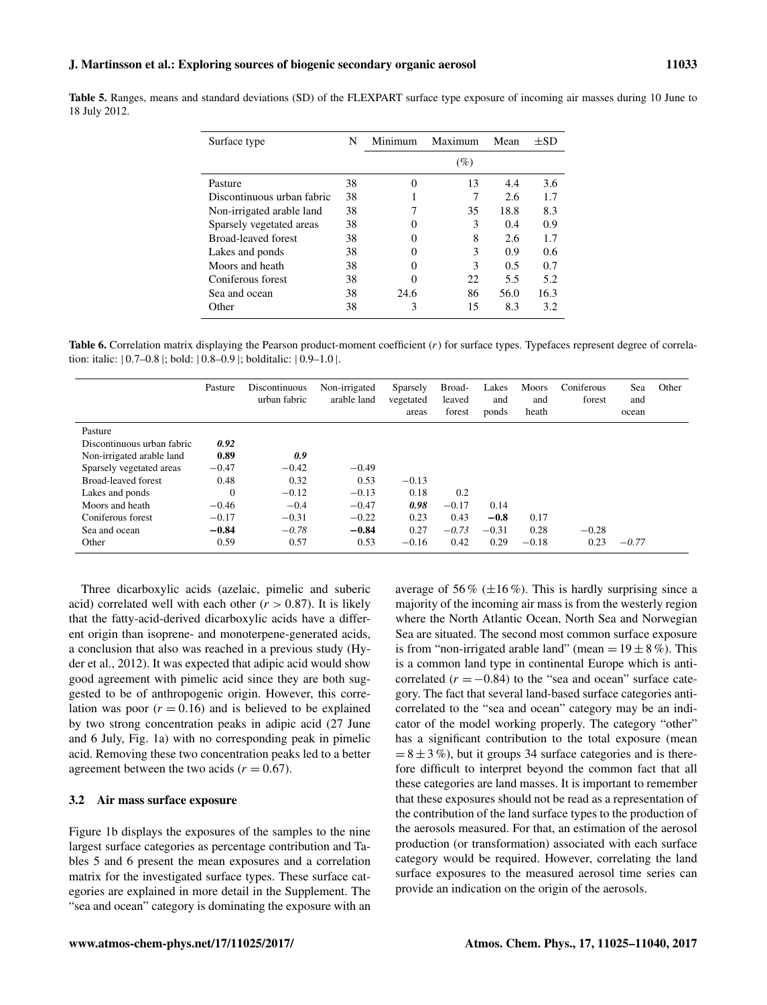Table 5. Ranges, means and standard deviations (SD) of the FLEXPART surface type exposure of incoming air masses during 10 June to 18 July 2012.

| Maximum<br>Minimum |        | Mean | $\pm$ SD      |
|--------------------|--------|------|---------------|
|                    | $(\%)$ |      |               |
| 0                  | 13     | 4.4  | 3.6           |
|                    |        | 2.6  | 1.7           |
|                    | 35     | 18.8 | 8.3           |
| 0                  | 3      | 0.4  | 0.9           |
| 0                  | 8      | 2.6  | 1.7           |
| 0                  | 3      | 0.9  | $0.6^{\circ}$ |
| 0                  | 3      | 0.5  | 0.7           |
| 0                  | 22     | 5.5  | 5.2           |
|                    | 86     | 56.0 | 16.3          |
| 3                  | 15     | 8.3  | 3.2           |
|                    | 24.6   |      |               |

Table 6. Correlation matrix displaying the Pearson product-moment coefficient (r) for surface types. Typefaces represent degree of correlation: italic: | 0.7–0.8 |; bold: | 0.8–0.9 |; bolditalic: | 0.9–1.0 |.

|                            | Pasture  | Discontinuous<br>urban fabric | Non-irrigated<br>arable land | Sparsely<br>vegetated<br>areas | Broad-<br>leaved<br>forest | Lakes<br>and<br>ponds | Moors<br>and<br>heath | Coniferous<br>forest | Sea<br>and<br>ocean | Other |
|----------------------------|----------|-------------------------------|------------------------------|--------------------------------|----------------------------|-----------------------|-----------------------|----------------------|---------------------|-------|
| Pasture                    |          |                               |                              |                                |                            |                       |                       |                      |                     |       |
| Discontinuous urban fabric | 0.92     |                               |                              |                                |                            |                       |                       |                      |                     |       |
| Non-irrigated arable land  | 0.89     | 0.9                           |                              |                                |                            |                       |                       |                      |                     |       |
| Sparsely vegetated areas   | $-0.47$  | $-0.42$                       | $-0.49$                      |                                |                            |                       |                       |                      |                     |       |
| Broad-leaved forest        | 0.48     | 0.32                          | 0.53                         | $-0.13$                        |                            |                       |                       |                      |                     |       |
| Lakes and ponds            | $\Omega$ | $-0.12$                       | $-0.13$                      | 0.18                           | 0.2                        |                       |                       |                      |                     |       |
| Moors and heath            | $-0.46$  | $-0.4$                        | $-0.47$                      | 0.98                           | $-0.17$                    | 0.14                  |                       |                      |                     |       |
| Coniferous forest          | $-0.17$  | $-0.31$                       | $-0.22$                      | 0.23                           | 0.43                       | $-0.8$                | 0.17                  |                      |                     |       |
| Sea and ocean              | $-0.84$  | $-0.78$                       | $-0.84$                      | 0.27                           | $-0.73$                    | $-0.31$               | 0.28                  | $-0.28$              |                     |       |
| Other                      | 0.59     | 0.57                          | 0.53                         | $-0.16$                        | 0.42                       | 0.29                  | $-0.18$               | 0.23                 | $-0.77$             |       |

Three dicarboxylic acids (azelaic, pimelic and suberic acid) correlated well with each other  $(r > 0.87)$ . It is likely that the fatty-acid-derived dicarboxylic acids have a different origin than isoprene- and monoterpene-generated acids, a conclusion that also was reached in a previous study (Hyder et al., 2012). It was expected that adipic acid would show good agreement with pimelic acid since they are both suggested to be of anthropogenic origin. However, this correlation was poor  $(r = 0.16)$  and is believed to be explained by two strong concentration peaks in adipic acid (27 June and 6 July, Fig. 1a) with no corresponding peak in pimelic acid. Removing these two concentration peaks led to a better agreement between the two acids  $(r = 0.67)$ .

## 3.2 Air mass surface exposure

Figure 1b displays the exposures of the samples to the nine largest surface categories as percentage contribution and Tables 5 and 6 present the mean exposures and a correlation matrix for the investigated surface types. These surface categories are explained in more detail in the Supplement. The "sea and ocean" category is dominating the exposure with an average of 56 % ( $\pm 16$ %). This is hardly surprising since a majority of the incoming air mass is from the westerly region where the North Atlantic Ocean, North Sea and Norwegian Sea are situated. The second most common surface exposure is from "non-irrigated arable land" (mean  $= 19 \pm 8\%$ ). This is a common land type in continental Europe which is anticorrelated  $(r = -0.84)$  to the "sea and ocean" surface category. The fact that several land-based surface categories anticorrelated to the "sea and ocean" category may be an indicator of the model working properly. The category "other" has a significant contribution to the total exposure (mean  $= 8 \pm 3 \%$ ), but it groups 34 surface categories and is therefore difficult to interpret beyond the common fact that all these categories are land masses. It is important to remember that these exposures should not be read as a representation of the contribution of the land surface types to the production of the aerosols measured. For that, an estimation of the aerosol production (or transformation) associated with each surface category would be required. However, correlating the land surface exposures to the measured aerosol time series can provide an indication on the origin of the aerosols.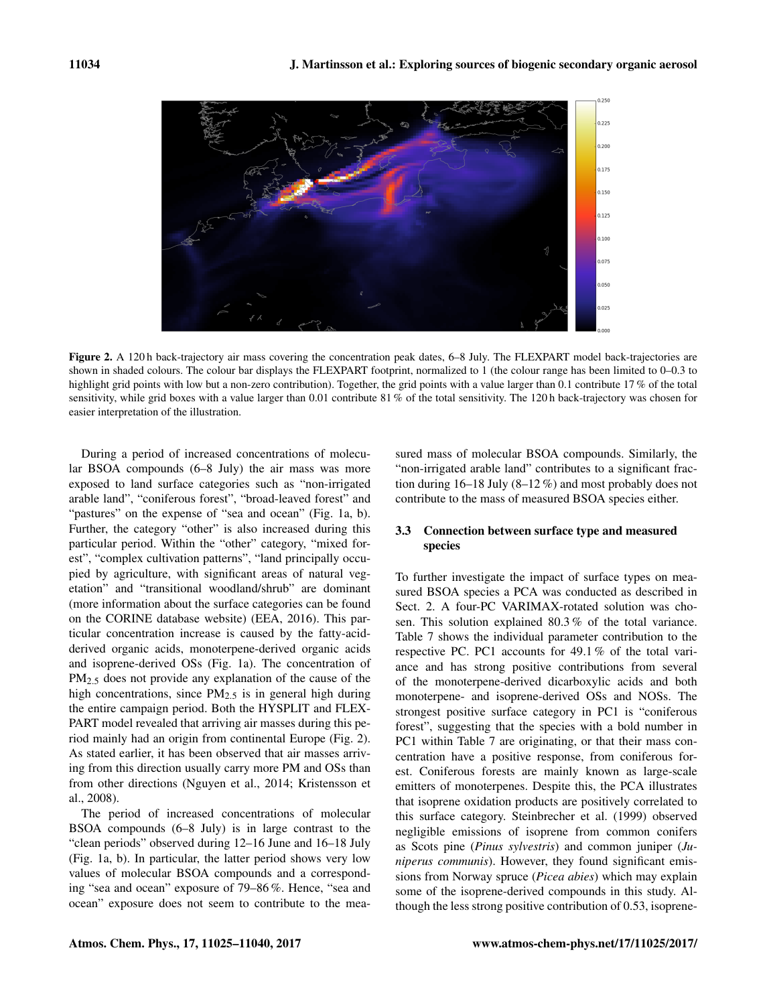

Figure 2. A 120 h back-trajectory air mass covering the concentration peak dates, 6–8 July. The FLEXPART model back-trajectories are shown in shaded colours. The colour bar displays the FLEXPART footprint, normalized to 1 (the colour range has been limited to 0–0.3 to highlight grid points with low but a non-zero contribution). Together, the grid points with a value larger than 0.1 contribute 17 % of the total sensitivity, while grid boxes with a value larger than 0.01 contribute 81 % of the total sensitivity. The 120 h back-trajectory was chosen for easier interpretation of the illustration.

During a period of increased concentrations of molecular BSOA compounds (6–8 July) the air mass was more exposed to land surface categories such as "non-irrigated arable land", "coniferous forest", "broad-leaved forest" and "pastures" on the expense of "sea and ocean" (Fig. 1a, b). Further, the category "other" is also increased during this particular period. Within the "other" category, "mixed forest", "complex cultivation patterns", "land principally occupied by agriculture, with significant areas of natural vegetation" and "transitional woodland/shrub" are dominant (more information about the surface categories can be found on the CORINE database website) (EEA, 2016). This particular concentration increase is caused by the fatty-acidderived organic acids, monoterpene-derived organic acids and isoprene-derived OSs (Fig. 1a). The concentration of PM2.<sup>5</sup> does not provide any explanation of the cause of the high concentrations, since  $PM_{2.5}$  is in general high during the entire campaign period. Both the HYSPLIT and FLEX-PART model revealed that arriving air masses during this period mainly had an origin from continental Europe (Fig. 2). As stated earlier, it has been observed that air masses arriving from this direction usually carry more PM and OSs than from other directions (Nguyen et al., 2014; Kristensson et al., 2008).

The period of increased concentrations of molecular BSOA compounds (6–8 July) is in large contrast to the "clean periods" observed during 12–16 June and 16–18 July (Fig. 1a, b). In particular, the latter period shows very low values of molecular BSOA compounds and a corresponding "sea and ocean" exposure of 79–86 %. Hence, "sea and ocean" exposure does not seem to contribute to the measured mass of molecular BSOA compounds. Similarly, the "non-irrigated arable land" contributes to a significant fraction during 16–18 July (8–12 %) and most probably does not contribute to the mass of measured BSOA species either.

## 3.3 Connection between surface type and measured species

To further investigate the impact of surface types on measured BSOA species a PCA was conducted as described in Sect. 2. A four-PC VARIMAX-rotated solution was chosen. This solution explained 80.3 % of the total variance. Table 7 shows the individual parameter contribution to the respective PC. PC1 accounts for 49.1 % of the total variance and has strong positive contributions from several of the monoterpene-derived dicarboxylic acids and both monoterpene- and isoprene-derived OSs and NOSs. The strongest positive surface category in PC1 is "coniferous forest", suggesting that the species with a bold number in PC1 within Table 7 are originating, or that their mass concentration have a positive response, from coniferous forest. Coniferous forests are mainly known as large-scale emitters of monoterpenes. Despite this, the PCA illustrates that isoprene oxidation products are positively correlated to this surface category. Steinbrecher et al. (1999) observed negligible emissions of isoprene from common conifers as Scots pine (*Pinus sylvestris*) and common juniper (*Juniperus communis*). However, they found significant emissions from Norway spruce (*Picea abies*) which may explain some of the isoprene-derived compounds in this study. Although the less strong positive contribution of 0.53, isoprene-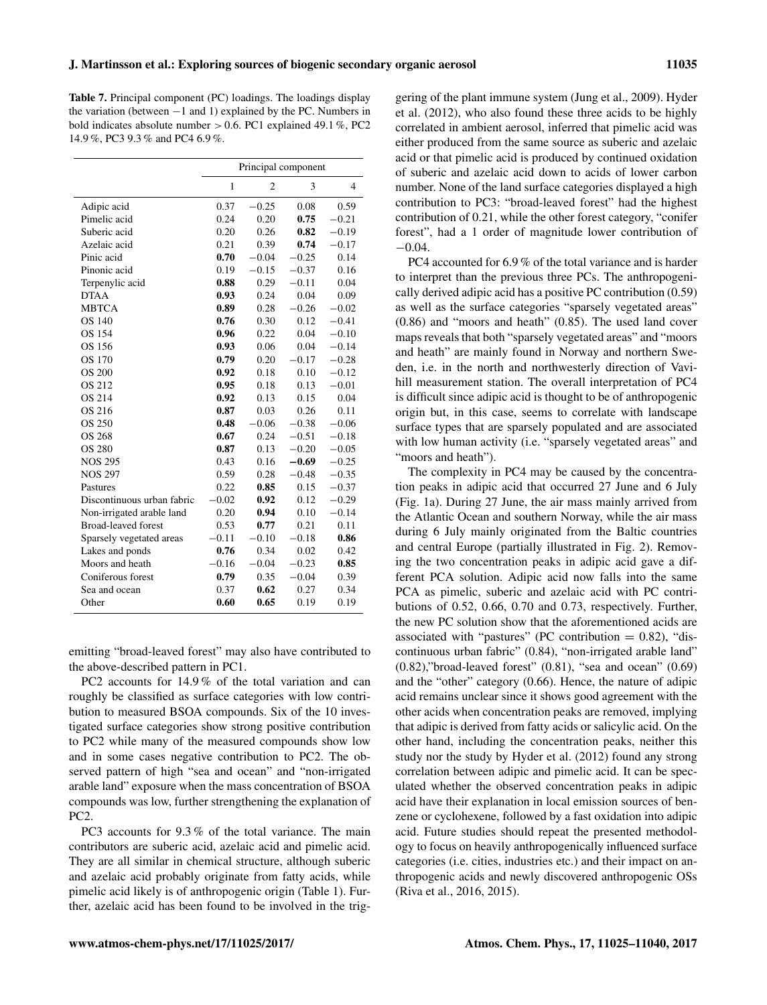Table 7. Principal component (PC) loadings. The loadings display the variation (between  $-1$  and 1) explained by the PC. Numbers in bold indicates absolute number > 0.6. PC1 explained 49.1 %, PC2 14.9 %, PC3 9.3 % and PC4 6.9 %.

|                            | Principal component |                |         |                |  |
|----------------------------|---------------------|----------------|---------|----------------|--|
|                            | 1                   | $\overline{2}$ | 3       | $\overline{4}$ |  |
| Adipic acid                | 0.37                | $-0.25$        | 0.08    | 0.59           |  |
| Pimelic acid               | 0.24                | 0.20           | 0.75    | $-0.21$        |  |
| Suberic acid               | 0.20                | 0.26           | 0.82    | $-0.19$        |  |
| Azelaic acid               | 0.21                | 0.39           | 0.74    | $-0.17$        |  |
| Pinic acid                 | 0.70                | $-0.04$        | $-0.25$ | 0.14           |  |
| Pinonic acid               | 0.19                | $-0.15$        | $-0.37$ | 0.16           |  |
| Terpenylic acid            | 0.88                | 0.29           | $-0.11$ | 0.04           |  |
| <b>DTAA</b>                | 0.93                | 0.24           | 0.04    | 0.09           |  |
| <b>MBTCA</b>               | 0.89                | 0.28           | $-0.26$ | $-0.02$        |  |
| OS 140                     | 0.76                | 0.30           | 0.12    | $-0.41$        |  |
| OS 154                     | 0.96                | 0.22           | 0.04    | $-0.10$        |  |
| OS 156                     | 0.93                | 0.06           | 0.04    | $-0.14$        |  |
| OS 170                     | 0.79                | 0.20           | $-0.17$ | $-0.28$        |  |
| <b>OS 200</b>              | 0.92                | 0.18           | 0.10    | $-0.12$        |  |
| OS 212                     | 0.95                | 0.18           | 0.13    | $-0.01$        |  |
| OS 214                     | 0.92                | 0.13           | 0.15    | 0.04           |  |
| OS 216                     | 0.87                | 0.03           | 0.26    | 0.11           |  |
| OS 250                     | 0.48                | $-0.06$        | $-0.38$ | $-0.06$        |  |
| OS 268                     | 0.67                | 0.24           | $-0.51$ | $-0.18$        |  |
| <b>OS 280</b>              | 0.87                | 0.13           | $-0.20$ | $-0.05$        |  |
| <b>NOS 295</b>             | 0.43                | 0.16           | $-0.69$ | $-0.25$        |  |
| <b>NOS 297</b>             | 0.59                | 0.28           | $-0.48$ | $-0.35$        |  |
| Pastures                   | 0.22                | 0.85           | 0.15    | $-0.37$        |  |
| Discontinuous urban fabric | $-0.02$             | 0.92           | 0.12    | $-0.29$        |  |
| Non-irrigated arable land  | 0.20                | 0.94           | 0.10    | $-0.14$        |  |
| <b>Broad-leaved forest</b> | 0.53                | 0.77           | 0.21    | 0.11           |  |
| Sparsely vegetated areas   | $-0.11$             | $-0.10$        | $-0.18$ | 0.86           |  |
| Lakes and ponds            | 0.76                | 0.34           | 0.02    | 0.42           |  |
| Moors and heath            | $-0.16$             | $-0.04$        | $-0.23$ | 0.85           |  |
| Coniferous forest          | 0.79                | 0.35           | $-0.04$ | 0.39           |  |
| Sea and ocean              | 0.37                | 0.62           | 0.27    | 0.34           |  |
| Other                      | 0.60                | 0.65           | 0.19    | 0.19           |  |

emitting "broad-leaved forest" may also have contributed to the above-described pattern in PC1.

PC2 accounts for 14.9 % of the total variation and can roughly be classified as surface categories with low contribution to measured BSOA compounds. Six of the 10 investigated surface categories show strong positive contribution to PC2 while many of the measured compounds show low and in some cases negative contribution to PC2. The observed pattern of high "sea and ocean" and "non-irrigated arable land" exposure when the mass concentration of BSOA compounds was low, further strengthening the explanation of PC2.

PC3 accounts for 9.3 % of the total variance. The main contributors are suberic acid, azelaic acid and pimelic acid. They are all similar in chemical structure, although suberic and azelaic acid probably originate from fatty acids, while pimelic acid likely is of anthropogenic origin (Table 1). Further, azelaic acid has been found to be involved in the triggering of the plant immune system (Jung et al., 2009). Hyder et al. (2012), who also found these three acids to be highly correlated in ambient aerosol, inferred that pimelic acid was either produced from the same source as suberic and azelaic acid or that pimelic acid is produced by continued oxidation of suberic and azelaic acid down to acids of lower carbon number. None of the land surface categories displayed a high contribution to PC3: "broad-leaved forest" had the highest contribution of 0.21, while the other forest category, "conifer forest", had a 1 order of magnitude lower contribution of −0.04.

PC4 accounted for 6.9 % of the total variance and is harder to interpret than the previous three PCs. The anthropogenically derived adipic acid has a positive PC contribution (0.59) as well as the surface categories "sparsely vegetated areas" (0.86) and "moors and heath" (0.85). The used land cover maps reveals that both "sparsely vegetated areas" and "moors and heath" are mainly found in Norway and northern Sweden, i.e. in the north and northwesterly direction of Vavihill measurement station. The overall interpretation of PC4 is difficult since adipic acid is thought to be of anthropogenic origin but, in this case, seems to correlate with landscape surface types that are sparsely populated and are associated with low human activity (i.e. "sparsely vegetated areas" and "moors and heath").

The complexity in PC4 may be caused by the concentration peaks in adipic acid that occurred 27 June and 6 July (Fig. 1a). During 27 June, the air mass mainly arrived from the Atlantic Ocean and southern Norway, while the air mass during 6 July mainly originated from the Baltic countries and central Europe (partially illustrated in Fig. 2). Removing the two concentration peaks in adipic acid gave a different PCA solution. Adipic acid now falls into the same PCA as pimelic, suberic and azelaic acid with PC contributions of 0.52, 0.66, 0.70 and 0.73, respectively. Further, the new PC solution show that the aforementioned acids are associated with "pastures" (PC contribution  $= 0.82$ ), "discontinuous urban fabric" (0.84), "non-irrigated arable land"  $(0.82)$ ,"broad-leaved forest"  $(0.81)$ , "sea and ocean"  $(0.69)$ and the "other" category (0.66). Hence, the nature of adipic acid remains unclear since it shows good agreement with the other acids when concentration peaks are removed, implying that adipic is derived from fatty acids or salicylic acid. On the other hand, including the concentration peaks, neither this study nor the study by Hyder et al. (2012) found any strong correlation between adipic and pimelic acid. It can be speculated whether the observed concentration peaks in adipic acid have their explanation in local emission sources of benzene or cyclohexene, followed by a fast oxidation into adipic acid. Future studies should repeat the presented methodology to focus on heavily anthropogenically influenced surface categories (i.e. cities, industries etc.) and their impact on anthropogenic acids and newly discovered anthropogenic OSs (Riva et al., 2016, 2015).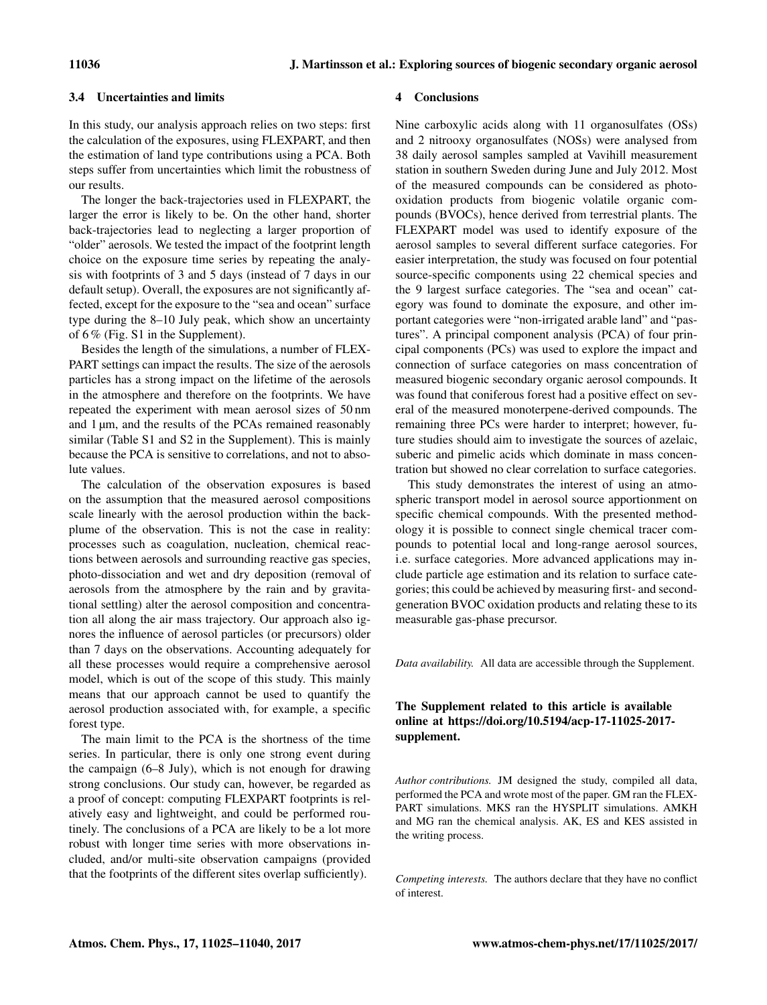## 3.4 Uncertainties and limits

In this study, our analysis approach relies on two steps: first the calculation of the exposures, using FLEXPART, and then the estimation of land type contributions using a PCA. Both steps suffer from uncertainties which limit the robustness of our results.

The longer the back-trajectories used in FLEXPART, the larger the error is likely to be. On the other hand, shorter back-trajectories lead to neglecting a larger proportion of "older" aerosols. We tested the impact of the footprint length choice on the exposure time series by repeating the analysis with footprints of 3 and 5 days (instead of 7 days in our default setup). Overall, the exposures are not significantly affected, except for the exposure to the "sea and ocean" surface type during the 8–10 July peak, which show an uncertainty of 6 % (Fig. S1 in the Supplement).

Besides the length of the simulations, a number of FLEX-PART settings can impact the results. The size of the aerosols particles has a strong impact on the lifetime of the aerosols in the atmosphere and therefore on the footprints. We have repeated the experiment with mean aerosol sizes of 50 nm and 1 µm, and the results of the PCAs remained reasonably similar (Table S1 and S2 in the Supplement). This is mainly because the PCA is sensitive to correlations, and not to absolute values.

The calculation of the observation exposures is based on the assumption that the measured aerosol compositions scale linearly with the aerosol production within the backplume of the observation. This is not the case in reality: processes such as coagulation, nucleation, chemical reactions between aerosols and surrounding reactive gas species, photo-dissociation and wet and dry deposition (removal of aerosols from the atmosphere by the rain and by gravitational settling) alter the aerosol composition and concentration all along the air mass trajectory. Our approach also ignores the influence of aerosol particles (or precursors) older than 7 days on the observations. Accounting adequately for all these processes would require a comprehensive aerosol model, which is out of the scope of this study. This mainly means that our approach cannot be used to quantify the aerosol production associated with, for example, a specific forest type.

The main limit to the PCA is the shortness of the time series. In particular, there is only one strong event during the campaign (6–8 July), which is not enough for drawing strong conclusions. Our study can, however, be regarded as a proof of concept: computing FLEXPART footprints is relatively easy and lightweight, and could be performed routinely. The conclusions of a PCA are likely to be a lot more robust with longer time series with more observations included, and/or multi-site observation campaigns (provided that the footprints of the different sites overlap sufficiently).

## 4 Conclusions

Nine carboxylic acids along with 11 organosulfates (OSs) and 2 nitrooxy organosulfates (NOSs) were analysed from 38 daily aerosol samples sampled at Vavihill measurement station in southern Sweden during June and July 2012. Most of the measured compounds can be considered as photooxidation products from biogenic volatile organic compounds (BVOCs), hence derived from terrestrial plants. The FLEXPART model was used to identify exposure of the aerosol samples to several different surface categories. For easier interpretation, the study was focused on four potential source-specific components using 22 chemical species and the 9 largest surface categories. The "sea and ocean" category was found to dominate the exposure, and other important categories were "non-irrigated arable land" and "pastures". A principal component analysis (PCA) of four principal components (PCs) was used to explore the impact and connection of surface categories on mass concentration of measured biogenic secondary organic aerosol compounds. It was found that coniferous forest had a positive effect on several of the measured monoterpene-derived compounds. The remaining three PCs were harder to interpret; however, future studies should aim to investigate the sources of azelaic, suberic and pimelic acids which dominate in mass concentration but showed no clear correlation to surface categories.

This study demonstrates the interest of using an atmospheric transport model in aerosol source apportionment on specific chemical compounds. With the presented methodology it is possible to connect single chemical tracer compounds to potential local and long-range aerosol sources, i.e. surface categories. More advanced applications may include particle age estimation and its relation to surface categories; this could be achieved by measuring first- and secondgeneration BVOC oxidation products and relating these to its measurable gas-phase precursor.

*Data availability.* All data are accessible through the Supplement.

# The Supplement related to this article is available online at [https://doi.org/10.5194/acp-17-11025-2017](https://doi.org/10.5194/acp-17-11025-2017-supplement) [supplement.](https://doi.org/10.5194/acp-17-11025-2017-supplement)

*Author contributions.* JM designed the study, compiled all data, performed the PCA and wrote most of the paper. GM ran the FLEX-PART simulations. MKS ran the HYSPLIT simulations. AMKH and MG ran the chemical analysis. AK, ES and KES assisted in the writing process.

*Competing interests.* The authors declare that they have no conflict of interest.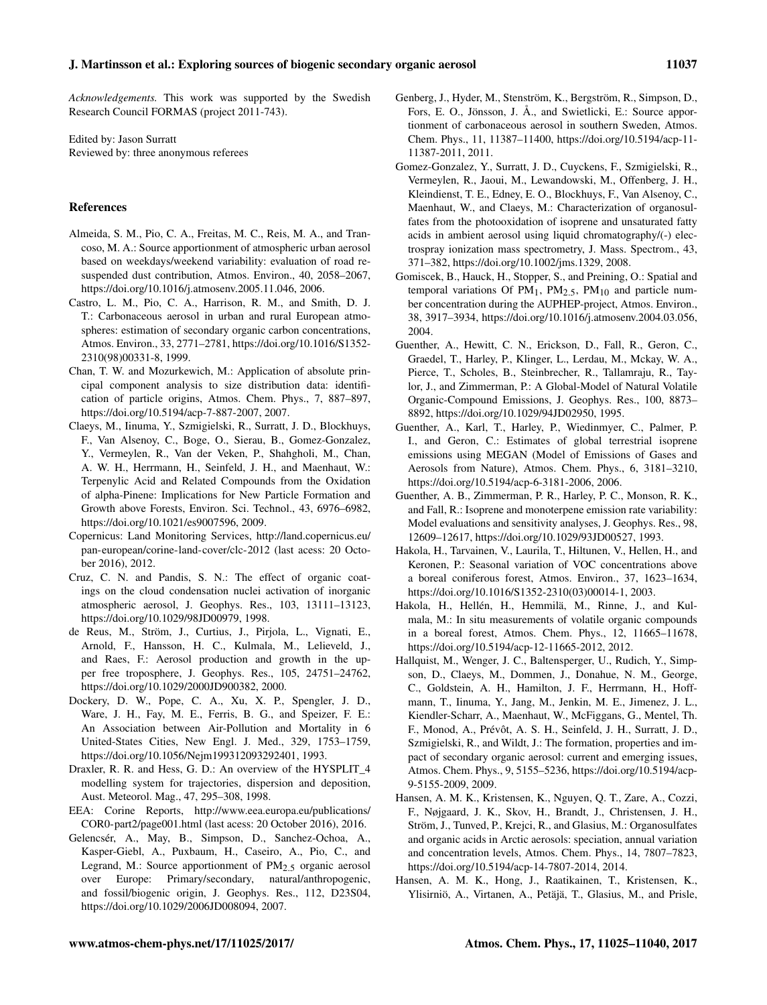*Acknowledgements.* This work was supported by the Swedish Research Council FORMAS (project 2011-743).

Edited by: Jason Surratt Reviewed by: three anonymous referees

## **References**

- Almeida, S. M., Pio, C. A., Freitas, M. C., Reis, M. A., and Trancoso, M. A.: Source apportionment of atmospheric urban aerosol based on weekdays/weekend variability: evaluation of road resuspended dust contribution, Atmos. Environ., 40, 2058–2067, https://doi.org[/10.1016/j.atmosenv.2005.11.046,](https://doi.org/10.1016/j.atmosenv.2005.11.046) 2006.
- Castro, L. M., Pio, C. A., Harrison, R. M., and Smith, D. J. T.: Carbonaceous aerosol in urban and rural European atmospheres: estimation of secondary organic carbon concentrations, Atmos. Environ., 33, 2771–2781, https://doi.org[/10.1016/S1352-](https://doi.org/10.1016/S1352-2310(98)00331-8) [2310\(98\)00331-8,](https://doi.org/10.1016/S1352-2310(98)00331-8) 1999.
- Chan, T. W. and Mozurkewich, M.: Application of absolute principal component analysis to size distribution data: identification of particle origins, Atmos. Chem. Phys., 7, 887–897, https://doi.org[/10.5194/acp-7-887-2007,](https://doi.org/10.5194/acp-7-887-2007) 2007.
- Claeys, M., Iinuma, Y., Szmigielski, R., Surratt, J. D., Blockhuys, F., Van Alsenoy, C., Boge, O., Sierau, B., Gomez-Gonzalez, Y., Vermeylen, R., Van der Veken, P., Shahgholi, M., Chan, A. W. H., Herrmann, H., Seinfeld, J. H., and Maenhaut, W.: Terpenylic Acid and Related Compounds from the Oxidation of alpha-Pinene: Implications for New Particle Formation and Growth above Forests, Environ. Sci. Technol., 43, 6976–6982, https://doi.org[/10.1021/es9007596,](https://doi.org/10.1021/es9007596) 2009.
- Copernicus: Land Monitoring Services, [http://land.copernicus.eu/](http://land.copernicus.eu/pan-european/corine-land-cover/clc-2012) [pan-european/corine-land-cover/clc-2012](http://land.copernicus.eu/pan-european/corine-land-cover/clc-2012) (last acess: 20 October 2016), 2012.
- Cruz, C. N. and Pandis, S. N.: The effect of organic coatings on the cloud condensation nuclei activation of inorganic atmospheric aerosol, J. Geophys. Res., 103, 13111–13123, https://doi.org[/10.1029/98JD00979,](https://doi.org/10.1029/98JD00979) 1998.
- de Reus, M., Ström, J., Curtius, J., Pirjola, L., Vignati, E., Arnold, F., Hansson, H. C., Kulmala, M., Lelieveld, J., and Raes, F.: Aerosol production and growth in the upper free troposphere, J. Geophys. Res., 105, 24751–24762, https://doi.org[/10.1029/2000JD900382,](https://doi.org/10.1029/2000JD900382) 2000.
- Dockery, D. W., Pope, C. A., Xu, X. P., Spengler, J. D., Ware, J. H., Fay, M. E., Ferris, B. G., and Speizer, F. E.: An Association between Air-Pollution and Mortality in 6 United-States Cities, New Engl. J. Med., 329, 1753–1759, https://doi.org[/10.1056/Nejm199312093292401,](https://doi.org/10.1056/Nejm199312093292401) 1993.
- Draxler, R. R. and Hess, G. D.: An overview of the HYSPLIT\_4 modelling system for trajectories, dispersion and deposition, Aust. Meteorol. Mag., 47, 295–308, 1998.
- EEA: Corine Reports, [http://www.eea.europa.eu/publications/](http://www.eea.europa.eu/publications/COR0-part2/page001.html) [COR0-part2/page001.html](http://www.eea.europa.eu/publications/COR0-part2/page001.html) (last acess: 20 October 2016), 2016.
- Gelencsér, A., May, B., Simpson, D., Sanchez-Ochoa, A., Kasper-Giebl, A., Puxbaum, H., Caseiro, A., Pio, C., and Legrand, M.: Source apportionment of  $PM<sub>2.5</sub>$  organic aerosol over Europe: Primary/secondary, natural/anthropogenic, and fossil/biogenic origin, J. Geophys. Res., 112, D23S04, https://doi.org[/10.1029/2006JD008094,](https://doi.org/10.1029/2006JD008094) 2007.
- Genberg, J., Hyder, M., Stenström, K., Bergström, R., Simpson, D., Fors, E. O., Jönsson, J. Å., and Swietlicki, E.: Source apportionment of carbonaceous aerosol in southern Sweden, Atmos. Chem. Phys., 11, 11387–11400, https://doi.org[/10.5194/acp-11-](https://doi.org/10.5194/acp-11-11387-2011) [11387-2011,](https://doi.org/10.5194/acp-11-11387-2011) 2011.
- Gomez-Gonzalez, Y., Surratt, J. D., Cuyckens, F., Szmigielski, R., Vermeylen, R., Jaoui, M., Lewandowski, M., Offenberg, J. H., Kleindienst, T. E., Edney, E. O., Blockhuys, F., Van Alsenoy, C., Maenhaut, W., and Claeys, M.: Characterization of organosulfates from the photooxidation of isoprene and unsaturated fatty acids in ambient aerosol using liquid chromatography/(-) electrospray ionization mass spectrometry, J. Mass. Spectrom., 43, 371–382, https://doi.org[/10.1002/jms.1329,](https://doi.org/10.1002/jms.1329) 2008.
- Gomiscek, B., Hauck, H., Stopper, S., and Preining, O.: Spatial and temporal variations Of  $PM_1$ ,  $PM_{2.5}$ ,  $PM_{10}$  and particle number concentration during the AUPHEP-project, Atmos. Environ., 38, 3917–3934, https://doi.org[/10.1016/j.atmosenv.2004.03.056,](https://doi.org/10.1016/j.atmosenv.2004.03.056) 2004.
- Guenther, A., Hewitt, C. N., Erickson, D., Fall, R., Geron, C., Graedel, T., Harley, P., Klinger, L., Lerdau, M., Mckay, W. A., Pierce, T., Scholes, B., Steinbrecher, R., Tallamraju, R., Taylor, J., and Zimmerman, P.: A Global-Model of Natural Volatile Organic-Compound Emissions, J. Geophys. Res., 100, 8873– 8892, https://doi.org[/10.1029/94JD02950,](https://doi.org/10.1029/94JD02950) 1995.
- Guenther, A., Karl, T., Harley, P., Wiedinmyer, C., Palmer, P. I., and Geron, C.: Estimates of global terrestrial isoprene emissions using MEGAN (Model of Emissions of Gases and Aerosols from Nature), Atmos. Chem. Phys., 6, 3181–3210, https://doi.org[/10.5194/acp-6-3181-2006,](https://doi.org/10.5194/acp-6-3181-2006) 2006.
- Guenther, A. B., Zimmerman, P. R., Harley, P. C., Monson, R. K., and Fall, R.: Isoprene and monoterpene emission rate variability: Model evaluations and sensitivity analyses, J. Geophys. Res., 98, 12609–12617, https://doi.org[/10.1029/93JD00527,](https://doi.org/10.1029/93JD00527) 1993.
- Hakola, H., Tarvainen, V., Laurila, T., Hiltunen, V., Hellen, H., and Keronen, P.: Seasonal variation of VOC concentrations above a boreal coniferous forest, Atmos. Environ., 37, 1623–1634, https://doi.org[/10.1016/S1352-2310\(03\)00014-1,](https://doi.org/10.1016/S1352-2310(03)00014-1) 2003.
- Hakola, H., Hellén, H., Hemmilä, M., Rinne, J., and Kulmala, M.: In situ measurements of volatile organic compounds in a boreal forest, Atmos. Chem. Phys., 12, 11665–11678, https://doi.org[/10.5194/acp-12-11665-2012,](https://doi.org/10.5194/acp-12-11665-2012) 2012.
- Hallquist, M., Wenger, J. C., Baltensperger, U., Rudich, Y., Simpson, D., Claeys, M., Dommen, J., Donahue, N. M., George, C., Goldstein, A. H., Hamilton, J. F., Herrmann, H., Hoffmann, T., Iinuma, Y., Jang, M., Jenkin, M. E., Jimenez, J. L., Kiendler-Scharr, A., Maenhaut, W., McFiggans, G., Mentel, Th. F., Monod, A., Prévôt, A. S. H., Seinfeld, J. H., Surratt, J. D., Szmigielski, R., and Wildt, J.: The formation, properties and impact of secondary organic aerosol: current and emerging issues, Atmos. Chem. Phys., 9, 5155–5236, https://doi.org[/10.5194/acp-](https://doi.org/10.5194/acp-9-5155-2009)[9-5155-2009,](https://doi.org/10.5194/acp-9-5155-2009) 2009.
- Hansen, A. M. K., Kristensen, K., Nguyen, Q. T., Zare, A., Cozzi, F., Nøjgaard, J. K., Skov, H., Brandt, J., Christensen, J. H., Ström, J., Tunved, P., Krejci, R., and Glasius, M.: Organosulfates and organic acids in Arctic aerosols: speciation, annual variation and concentration levels, Atmos. Chem. Phys., 14, 7807–7823, https://doi.org[/10.5194/acp-14-7807-2014,](https://doi.org/10.5194/acp-14-7807-2014) 2014.
- Hansen, A. M. K., Hong, J., Raatikainen, T., Kristensen, K., Ylisirniö, A., Virtanen, A., Petäjä, T., Glasius, M., and Prisle,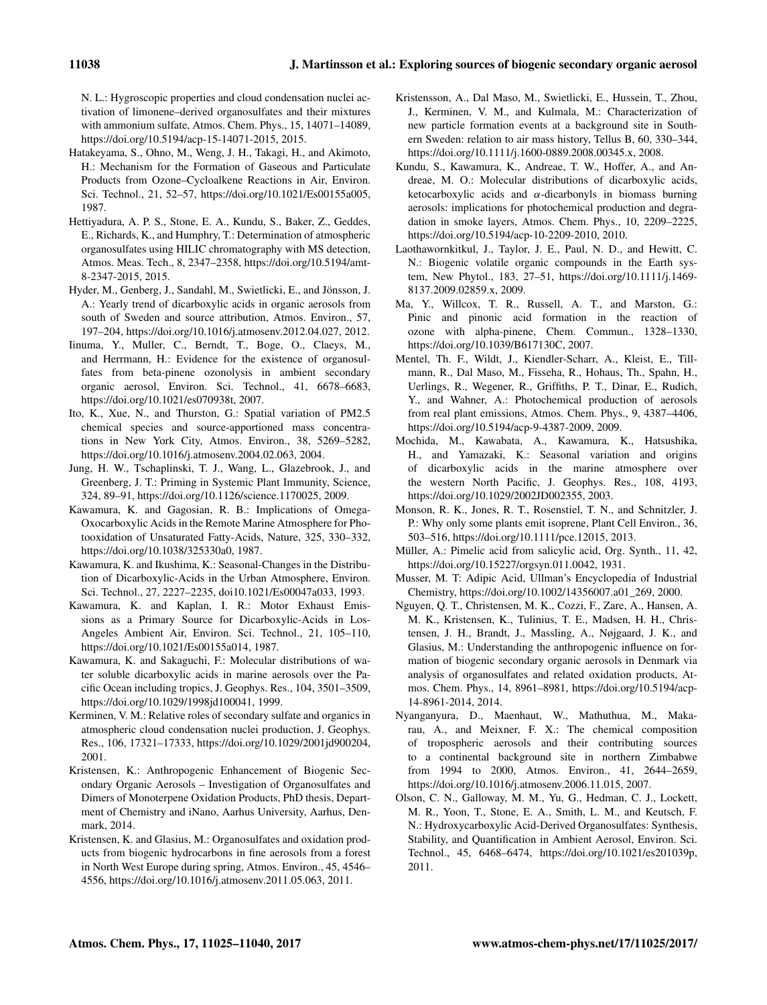N. L.: Hygroscopic properties and cloud condensation nuclei activation of limonene–derived organosulfates and their mixtures with ammonium sulfate, Atmos. Chem. Phys., 15, 14071–14089, https://doi.org[/10.5194/acp-15-14071-2015,](https://doi.org/10.5194/acp-15-14071-2015) 2015.

- Hatakeyama, S., Ohno, M., Weng, J. H., Takagi, H., and Akimoto, H.: Mechanism for the Formation of Gaseous and Particulate Products from Ozone–Cycloalkene Reactions in Air, Environ. Sci. Technol., 21, 52–57, https://doi.org[/10.1021/Es00155a005,](https://doi.org/10.1021/Es00155a005) 1987.
- Hettiyadura, A. P. S., Stone, E. A., Kundu, S., Baker, Z., Geddes, E., Richards, K., and Humphry, T.: Determination of atmospheric organosulfates using HILIC chromatography with MS detection, Atmos. Meas. Tech., 8, 2347–2358, https://doi.org[/10.5194/amt-](https://doi.org/10.5194/amt-8-2347-2015)[8-2347-2015,](https://doi.org/10.5194/amt-8-2347-2015) 2015.
- Hyder, M., Genberg, J., Sandahl, M., Swietlicki, E., and Jönsson, J. A.: Yearly trend of dicarboxylic acids in organic aerosols from south of Sweden and source attribution, Atmos. Environ., 57, 197–204, https://doi.org[/10.1016/j.atmosenv.2012.04.027,](https://doi.org/10.1016/j.atmosenv.2012.04.027) 2012.
- Iinuma, Y., Muller, C., Berndt, T., Boge, O., Claeys, M., and Herrmann, H.: Evidence for the existence of organosulfates from beta-pinene ozonolysis in ambient secondary organic aerosol, Environ. Sci. Technol., 41, 6678–6683, https://doi.org[/10.1021/es070938t,](https://doi.org/10.1021/es070938t) 2007.
- Ito, K., Xue, N., and Thurston, G.: Spatial variation of PM2.5 chemical species and source-apportioned mass concentrations in New York City, Atmos. Environ., 38, 5269–5282, https://doi.org[/10.1016/j.atmosenv.2004.02.063,](https://doi.org/10.1016/j.atmosenv.2004.02.063) 2004.
- Jung, H. W., Tschaplinski, T. J., Wang, L., Glazebrook, J., and Greenberg, J. T.: Priming in Systemic Plant Immunity, Science, 324, 89–91, https://doi.org[/10.1126/science.1170025,](https://doi.org/10.1126/science.1170025) 2009.
- Kawamura, K. and Gagosian, R. B.: Implications of Omega-Oxocarboxylic Acids in the Remote Marine Atmosphere for Photooxidation of Unsaturated Fatty-Acids, Nature, 325, 330–332, https://doi.org[/10.1038/325330a0,](https://doi.org/10.1038/325330a0) 1987.
- Kawamura, K. and Ikushima, K.: Seasonal-Changes in the Distribution of Dicarboxylic-Acids in the Urban Atmosphere, Environ. Sci. Technol., 27, 2227–2235, doi10.1021/Es00047a033, 1993.
- Kawamura, K. and Kaplan, I. R.: Motor Exhaust Emissions as a Primary Source for Dicarboxylic-Acids in Los-Angeles Ambient Air, Environ. Sci. Technol., 21, 105–110, https://doi.org[/10.1021/Es00155a014,](https://doi.org/10.1021/Es00155a014) 1987.
- Kawamura, K. and Sakaguchi, F.: Molecular distributions of water soluble dicarboxylic acids in marine aerosols over the Pacific Ocean including tropics, J. Geophys. Res., 104, 3501–3509, https://doi.org[/10.1029/1998jd100041,](https://doi.org/10.1029/1998jd100041) 1999.
- Kerminen, V. M.: Relative roles of secondary sulfate and organics in atmospheric cloud condensation nuclei production, J. Geophys. Res., 106, 17321–17333, https://doi.org[/10.1029/2001jd900204,](https://doi.org/10.1029/2001jd900204) 2001.
- Kristensen, K.: Anthropogenic Enhancement of Biogenic Secondary Organic Aerosols – Investigation of Organosulfates and Dimers of Monoterpene Oxidation Products, PhD thesis, Department of Chemistry and iNano, Aarhus University, Aarhus, Denmark, 2014.
- Kristensen, K. and Glasius, M.: Organosulfates and oxidation products from biogenic hydrocarbons in fine aerosols from a forest in North West Europe during spring, Atmos. Environ., 45, 4546– 4556, https://doi.org[/10.1016/j.atmosenv.2011.05.063,](https://doi.org/10.1016/j.atmosenv.2011.05.063) 2011.
- Kristensson, A., Dal Maso, M., Swietlicki, E., Hussein, T., Zhou, J., Kerminen, V. M., and Kulmala, M.: Characterization of new particle formation events at a background site in Southern Sweden: relation to air mass history, Tellus B, 60, 330–344, https://doi.org[/10.1111/j.1600-0889.2008.00345.x,](https://doi.org/10.1111/j.1600-0889.2008.00345.x) 2008.
- Kundu, S., Kawamura, K., Andreae, T. W., Hoffer, A., and Andreae, M. O.: Molecular distributions of dicarboxylic acids, ketocarboxylic acids and  $\alpha$ -dicarbonyls in biomass burning aerosols: implications for photochemical production and degradation in smoke layers, Atmos. Chem. Phys., 10, 2209–2225, https://doi.org[/10.5194/acp-10-2209-2010,](https://doi.org/10.5194/acp-10-2209-2010) 2010.
- Laothawornkitkul, J., Taylor, J. E., Paul, N. D., and Hewitt, C. N.: Biogenic volatile organic compounds in the Earth system, New Phytol., 183, 27–51, https://doi.org[/10.1111/j.1469-](https://doi.org/10.1111/j.1469-8137.2009.02859.x) [8137.2009.02859.x,](https://doi.org/10.1111/j.1469-8137.2009.02859.x) 2009.
- Ma, Y., Willcox, T. R., Russell, A. T., and Marston, G.: Pinic and pinonic acid formation in the reaction of ozone with alpha-pinene, Chem. Commun., 1328–1330, https://doi.org[/10.1039/B617130C,](https://doi.org/10.1039/B617130C) 2007.
- Mentel, Th. F., Wildt, J., Kiendler-Scharr, A., Kleist, E., Tillmann, R., Dal Maso, M., Fisseha, R., Hohaus, Th., Spahn, H., Uerlings, R., Wegener, R., Griffiths, P. T., Dinar, E., Rudich, Y., and Wahner, A.: Photochemical production of aerosols from real plant emissions, Atmos. Chem. Phys., 9, 4387–4406, https://doi.org[/10.5194/acp-9-4387-2009,](https://doi.org/10.5194/acp-9-4387-2009) 2009.
- Mochida, M., Kawabata, A., Kawamura, K., Hatsushika, H., and Yamazaki, K.: Seasonal variation and origins of dicarboxylic acids in the marine atmosphere over the western North Pacific, J. Geophys. Res., 108, 4193, https://doi.org[/10.1029/2002JD002355,](https://doi.org/10.1029/2002JD002355) 2003.
- Monson, R. K., Jones, R. T., Rosenstiel, T. N., and Schnitzler, J. P.: Why only some plants emit isoprene, Plant Cell Environ., 36, 503–516, https://doi.org[/10.1111/pce.12015,](https://doi.org/10.1111/pce.12015) 2013.
- Müller, A.: Pimelic acid from salicylic acid, Org. Synth., 11, 42, https://doi.org[/10.15227/orgsyn.011.0042,](https://doi.org/10.15227/orgsyn.011.0042) 1931.
- Musser, M. T: Adipic Acid, Ullman's Encyclopedia of Industrial Chemistry, https://doi.org[/10.1002/14356007.a01\\_269,](https://doi.org/10.1002/14356007.a01_269) 2000.
- Nguyen, Q. T., Christensen, M. K., Cozzi, F., Zare, A., Hansen, A. M. K., Kristensen, K., Tulinius, T. E., Madsen, H. H., Christensen, J. H., Brandt, J., Massling, A., Nøjgaard, J. K., and Glasius, M.: Understanding the anthropogenic influence on formation of biogenic secondary organic aerosols in Denmark via analysis of organosulfates and related oxidation products, Atmos. Chem. Phys., 14, 8961–8981, https://doi.org[/10.5194/acp-](https://doi.org/10.5194/acp-14-8961-2014)[14-8961-2014,](https://doi.org/10.5194/acp-14-8961-2014) 2014.
- Nyanganyura, D., Maenhaut, W., Mathuthua, M., Makarau, A., and Meixner, F. X.: The chemical composition of tropospheric aerosols and their contributing sources to a continental background site in northern Zimbabwe from 1994 to 2000, Atmos. Environ., 41, 2644–2659, https://doi.org[/10.1016/j.atmosenv.2006.11.015,](https://doi.org/10.1016/j.atmosenv.2006.11.015) 2007.
- Olson, C. N., Galloway, M. M., Yu, G., Hedman, C. J., Lockett, M. R., Yoon, T., Stone, E. A., Smith, L. M., and Keutsch, F. N.: Hydroxycarboxylic Acid-Derived Organosulfates: Synthesis, Stability, and Quantification in Ambient Aerosol, Environ. Sci. Technol., 45, 6468–6474, https://doi.org[/10.1021/es201039p,](https://doi.org/10.1021/es201039p) 2011.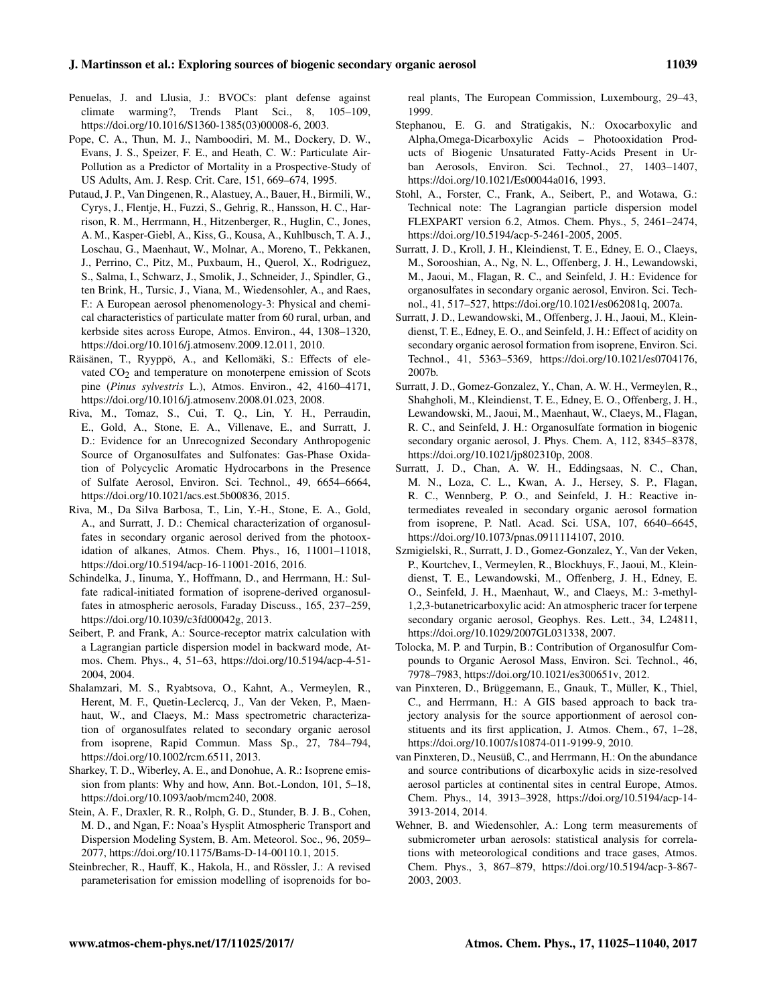- Penuelas, J. and Llusia, J.: BVOCs: plant defense against climate warming?, Trends Plant Sci., 8, 105–109, https://doi.org[/10.1016/S1360-1385\(03\)00008-6,](https://doi.org/10.1016/S1360-1385(03)00008-6) 2003.
- Pope, C. A., Thun, M. J., Namboodiri, M. M., Dockery, D. W., Evans, J. S., Speizer, F. E., and Heath, C. W.: Particulate Air-Pollution as a Predictor of Mortality in a Prospective-Study of US Adults, Am. J. Resp. Crit. Care, 151, 669–674, 1995.
- Putaud, J. P., Van Dingenen, R., Alastuey, A., Bauer, H., Birmili, W., Cyrys, J., Flentje, H., Fuzzi, S., Gehrig, R., Hansson, H. C., Harrison, R. M., Herrmann, H., Hitzenberger, R., Huglin, C., Jones, A. M., Kasper-Giebl, A., Kiss, G., Kousa, A., Kuhlbusch, T. A. J., Loschau, G., Maenhaut, W., Molnar, A., Moreno, T., Pekkanen, J., Perrino, C., Pitz, M., Puxbaum, H., Querol, X., Rodriguez, S., Salma, I., Schwarz, J., Smolik, J., Schneider, J., Spindler, G., ten Brink, H., Tursic, J., Viana, M., Wiedensohler, A., and Raes, F.: A European aerosol phenomenology-3: Physical and chemical characteristics of particulate matter from 60 rural, urban, and kerbside sites across Europe, Atmos. Environ., 44, 1308–1320, https://doi.org[/10.1016/j.atmosenv.2009.12.011,](https://doi.org/10.1016/j.atmosenv.2009.12.011) 2010.
- Räisänen, T., Ryyppö, A., and Kellomäki, S.: Effects of elevated  $CO<sub>2</sub>$  and temperature on monoterpene emission of Scots pine (*Pinus sylvestris* L.), Atmos. Environ., 42, 4160–4171, https://doi.org[/10.1016/j.atmosenv.2008.01.023,](https://doi.org/10.1016/j.atmosenv.2008.01.023) 2008.
- Riva, M., Tomaz, S., Cui, T. Q., Lin, Y. H., Perraudin, E., Gold, A., Stone, E. A., Villenave, E., and Surratt, J. D.: Evidence for an Unrecognized Secondary Anthropogenic Source of Organosulfates and Sulfonates: Gas-Phase Oxidation of Polycyclic Aromatic Hydrocarbons in the Presence of Sulfate Aerosol, Environ. Sci. Technol., 49, 6654–6664, https://doi.org[/10.1021/acs.est.5b00836,](https://doi.org/10.1021/acs.est.5b00836) 2015.
- Riva, M., Da Silva Barbosa, T., Lin, Y.-H., Stone, E. A., Gold, A., and Surratt, J. D.: Chemical characterization of organosulfates in secondary organic aerosol derived from the photooxidation of alkanes, Atmos. Chem. Phys., 16, 11001–11018, https://doi.org[/10.5194/acp-16-11001-2016,](https://doi.org/10.5194/acp-16-11001-2016) 2016.
- Schindelka, J., Iinuma, Y., Hoffmann, D., and Herrmann, H.: Sulfate radical-initiated formation of isoprene-derived organosulfates in atmospheric aerosols, Faraday Discuss., 165, 237–259, https://doi.org[/10.1039/c3fd00042g,](https://doi.org/10.1039/c3fd00042g) 2013.
- Seibert, P. and Frank, A.: Source-receptor matrix calculation with a Lagrangian particle dispersion model in backward mode, Atmos. Chem. Phys., 4, 51–63, https://doi.org[/10.5194/acp-4-51-](https://doi.org/10.5194/acp-4-51-2004) [2004,](https://doi.org/10.5194/acp-4-51-2004) 2004.
- Shalamzari, M. S., Ryabtsova, O., Kahnt, A., Vermeylen, R., Herent, M. F., Quetin-Leclercq, J., Van der Veken, P., Maenhaut, W., and Claeys, M.: Mass spectrometric characterization of organosulfates related to secondary organic aerosol from isoprene, Rapid Commun. Mass Sp., 27, 784–794, https://doi.org[/10.1002/rcm.6511,](https://doi.org/10.1002/rcm.6511) 2013.
- Sharkey, T. D., Wiberley, A. E., and Donohue, A. R.: Isoprene emission from plants: Why and how, Ann. Bot.-London, 101, 5–18, https://doi.org[/10.1093/aob/mcm240,](https://doi.org/10.1093/aob/mcm240) 2008.
- Stein, A. F., Draxler, R. R., Rolph, G. D., Stunder, B. J. B., Cohen, M. D., and Ngan, F.: Noaa's Hysplit Atmospheric Transport and Dispersion Modeling System, B. Am. Meteorol. Soc., 96, 2059– 2077, https://doi.org[/10.1175/Bams-D-14-00110.1,](https://doi.org/10.1175/Bams-D-14-00110.1) 2015.
- Steinbrecher, R., Hauff, K., Hakola, H., and Rössler, J.: A revised parameterisation for emission modelling of isoprenoids for bo-

real plants, The European Commission, Luxembourg, 29–43, 1999.

- Stephanou, E. G. and Stratigakis, N.: Oxocarboxylic and Alpha,Omega-Dicarboxylic Acids – Photooxidation Products of Biogenic Unsaturated Fatty-Acids Present in Urban Aerosols, Environ. Sci. Technol., 27, 1403–1407, https://doi.org[/10.1021/Es00044a016,](https://doi.org/10.1021/Es00044a016) 1993.
- Stohl, A., Forster, C., Frank, A., Seibert, P., and Wotawa, G.: Technical note: The Lagrangian particle dispersion model FLEXPART version 6.2, Atmos. Chem. Phys., 5, 2461–2474, https://doi.org[/10.5194/acp-5-2461-2005,](https://doi.org/10.5194/acp-5-2461-2005) 2005.
- Surratt, J. D., Kroll, J. H., Kleindienst, T. E., Edney, E. O., Claeys, M., Sorooshian, A., Ng, N. L., Offenberg, J. H., Lewandowski, M., Jaoui, M., Flagan, R. C., and Seinfeld, J. H.: Evidence for organosulfates in secondary organic aerosol, Environ. Sci. Technol., 41, 517–527, https://doi.org[/10.1021/es062081q,](https://doi.org/10.1021/es062081q) 2007a.
- Surratt, J. D., Lewandowski, M., Offenberg, J. H., Jaoui, M., Kleindienst, T. E., Edney, E. O., and Seinfeld, J. H.: Effect of acidity on secondary organic aerosol formation from isoprene, Environ. Sci. Technol., 41, 5363–5369, https://doi.org[/10.1021/es0704176,](https://doi.org/10.1021/es0704176) 2007b.
- Surratt, J. D., Gomez-Gonzalez, Y., Chan, A. W. H., Vermeylen, R., Shahgholi, M., Kleindienst, T. E., Edney, E. O., Offenberg, J. H., Lewandowski, M., Jaoui, M., Maenhaut, W., Claeys, M., Flagan, R. C., and Seinfeld, J. H.: Organosulfate formation in biogenic secondary organic aerosol, J. Phys. Chem. A, 112, 8345–8378, https://doi.org[/10.1021/jp802310p,](https://doi.org/10.1021/jp802310p) 2008.
- Surratt, J. D., Chan, A. W. H., Eddingsaas, N. C., Chan, M. N., Loza, C. L., Kwan, A. J., Hersey, S. P., Flagan, R. C., Wennberg, P. O., and Seinfeld, J. H.: Reactive intermediates revealed in secondary organic aerosol formation from isoprene, P. Natl. Acad. Sci. USA, 107, 6640–6645, https://doi.org[/10.1073/pnas.0911114107,](https://doi.org/10.1073/pnas.0911114107) 2010.
- Szmigielski, R., Surratt, J. D., Gomez-Gonzalez, Y., Van der Veken, P., Kourtchev, I., Vermeylen, R., Blockhuys, F., Jaoui, M., Kleindienst, T. E., Lewandowski, M., Offenberg, J. H., Edney, E. O., Seinfeld, J. H., Maenhaut, W., and Claeys, M.: 3-methyl-1,2,3-butanetricarboxylic acid: An atmospheric tracer for terpene secondary organic aerosol, Geophys. Res. Lett., 34, L24811, https://doi.org[/10.1029/2007GL031338,](https://doi.org/10.1029/2007GL031338) 2007.
- Tolocka, M. P. and Turpin, B.: Contribution of Organosulfur Compounds to Organic Aerosol Mass, Environ. Sci. Technol., 46, 7978–7983, https://doi.org[/10.1021/es300651v,](https://doi.org/10.1021/es300651v) 2012.
- van Pinxteren, D., Brüggemann, E., Gnauk, T., Müller, K., Thiel, C., and Herrmann, H.: A GIS based approach to back trajectory analysis for the source apportionment of aerosol constituents and its first application, J. Atmos. Chem., 67, 1–28, https://doi.org[/10.1007/s10874-011-9199-9,](https://doi.org/10.1007/s10874-011-9199-9) 2010.
- van Pinxteren, D., Neusüß, C., and Herrmann, H.: On the abundance and source contributions of dicarboxylic acids in size-resolved aerosol particles at continental sites in central Europe, Atmos. Chem. Phys., 14, 3913–3928, https://doi.org[/10.5194/acp-14-](https://doi.org/10.5194/acp-14-3913-2014) [3913-2014,](https://doi.org/10.5194/acp-14-3913-2014) 2014.
- Wehner, B. and Wiedensohler, A.: Long term measurements of submicrometer urban aerosols: statistical analysis for correlations with meteorological conditions and trace gases, Atmos. Chem. Phys., 3, 867–879, https://doi.org[/10.5194/acp-3-867-](https://doi.org/10.5194/acp-3-867-2003) [2003,](https://doi.org/10.5194/acp-3-867-2003) 2003.